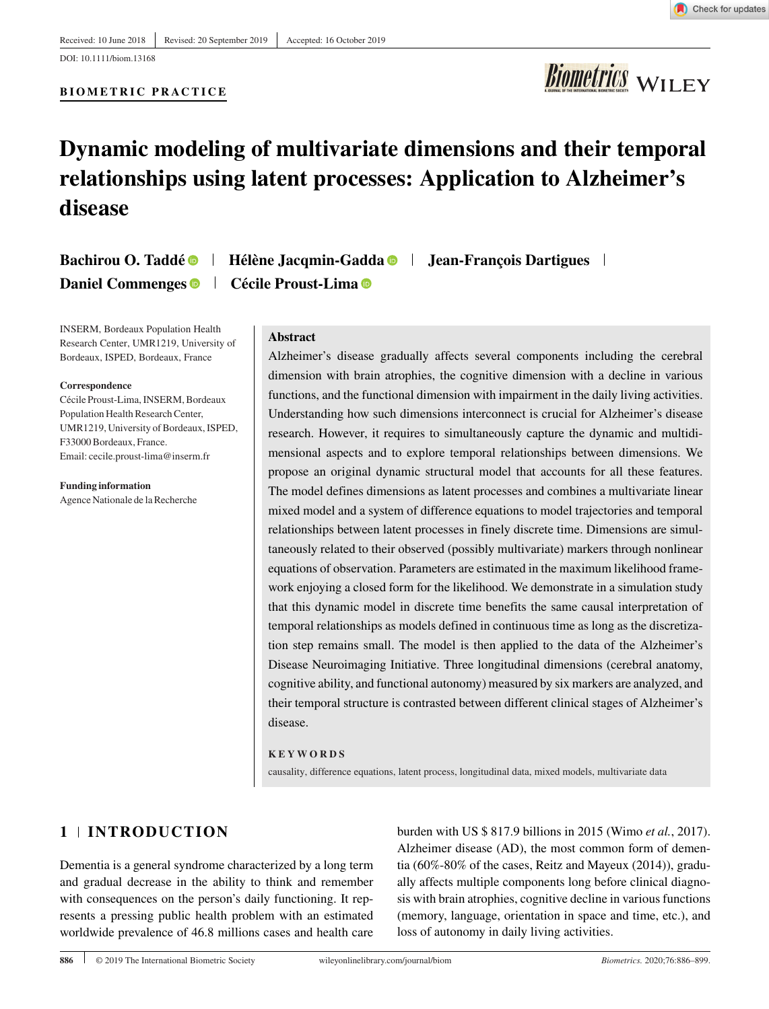DOI: 10.1111/biom.13168

## **BIOMETRIC PRACTICE**



# **Dynamic modeling of multivariate dimensions and their temporal relationships using latent processes: Application to Alzheimer's disease**

**Bachirou O. Taddé Hélène Jacqmin-Gadda Jean-François Dartigues Daniel Commenges Cécile Proust-Lima** 

INSERM, Bordeaux Population Health Research Center, UMR1219, University of Bordeaux, ISPED, Bordeaux, France

#### **Correspondence**

Cécile Proust-Lima, INSERM, Bordeaux Population Health Research Center, UMR1219, University of Bordeaux, ISPED, F33000 Bordeaux, France. Email: cecile.proust-lima@inserm.fr

**Funding information** Agence Nationale de la Recherche **Abstract**

Alzheimer's disease gradually affects several components including the cerebral dimension with brain atrophies, the cognitive dimension with a decline in various functions, and the functional dimension with impairment in the daily living activities. Understanding how such dimensions interconnect is crucial for Alzheimer's disease research. However, it requires to simultaneously capture the dynamic and multidimensional aspects and to explore temporal relationships between dimensions. We propose an original dynamic structural model that accounts for all these features. The model defines dimensions as latent processes and combines a multivariate linear mixed model and a system of difference equations to model trajectories and temporal relationships between latent processes in finely discrete time. Dimensions are simultaneously related to their observed (possibly multivariate) markers through nonlinear equations of observation. Parameters are estimated in the maximum likelihood framework enjoying a closed form for the likelihood. We demonstrate in a simulation study that this dynamic model in discrete time benefits the same causal interpretation of temporal relationships as models defined in continuous time as long as the discretization step remains small. The model is then applied to the data of the Alzheimer's Disease Neuroimaging Initiative. Three longitudinal dimensions (cerebral anatomy, cognitive ability, and functional autonomy) measured by six markers are analyzed, and their temporal structure is contrasted between different clinical stages of Alzheimer's disease.

#### **KEYWORDS**

causality, difference equations, latent process, longitudinal data, mixed models, multivariate data

# **1 INTRODUCTION**

Dementia is a general syndrome characterized by a long term and gradual decrease in the ability to think and remember with consequences on the person's daily functioning. It represents a pressing public health problem with an estimated worldwide prevalence of 46.8 millions cases and health care

burden with US \$ 817.9 billions in 2015 (Wimo *et al.*, 2017). Alzheimer disease (AD), the most common form of dementia (60%-80% of the cases, Reitz and Mayeux (2014)), gradually affects multiple components long before clinical diagnosis with brain atrophies, cognitive decline in various functions (memory, language, orientation in space and time, etc.), and loss of autonomy in daily living activities.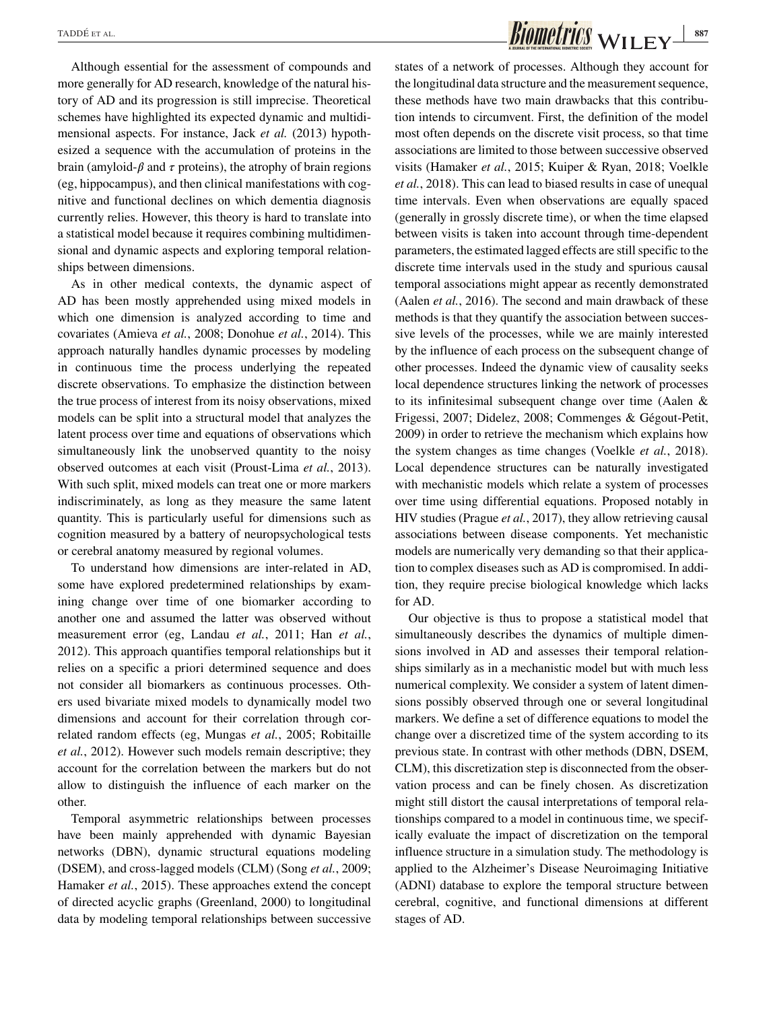Although essential for the assessment of compounds and more generally for AD research, knowledge of the natural history of AD and its progression is still imprecise. Theoretical schemes have highlighted its expected dynamic and multidimensional aspects. For instance, Jack *et al.* (2013) hypothesized a sequence with the accumulation of proteins in the brain (amyloid- $\beta$  and  $\tau$  proteins), the atrophy of brain regions (eg, hippocampus), and then clinical manifestations with cognitive and functional declines on which dementia diagnosis currently relies. However, this theory is hard to translate into a statistical model because it requires combining multidimensional and dynamic aspects and exploring temporal relationships between dimensions.

As in other medical contexts, the dynamic aspect of AD has been mostly apprehended using mixed models in which one dimension is analyzed according to time and covariates (Amieva *et al.*, 2008; Donohue *et al.*, 2014). This approach naturally handles dynamic processes by modeling in continuous time the process underlying the repeated discrete observations. To emphasize the distinction between the true process of interest from its noisy observations, mixed models can be split into a structural model that analyzes the latent process over time and equations of observations which simultaneously link the unobserved quantity to the noisy observed outcomes at each visit (Proust-Lima *et al.*, 2013). With such split, mixed models can treat one or more markers indiscriminately, as long as they measure the same latent quantity. This is particularly useful for dimensions such as cognition measured by a battery of neuropsychological tests or cerebral anatomy measured by regional volumes.

To understand how dimensions are inter-related in AD, some have explored predetermined relationships by examining change over time of one biomarker according to another one and assumed the latter was observed without measurement error (eg, Landau *et al.*, 2011; Han *et al.*, 2012). This approach quantifies temporal relationships but it relies on a specific a priori determined sequence and does not consider all biomarkers as continuous processes. Others used bivariate mixed models to dynamically model two dimensions and account for their correlation through correlated random effects (eg, Mungas *et al.*, 2005; Robitaille *et al.*, 2012). However such models remain descriptive; they account for the correlation between the markers but do not allow to distinguish the influence of each marker on the other.

Temporal asymmetric relationships between processes have been mainly apprehended with dynamic Bayesian networks (DBN), dynamic structural equations modeling (DSEM), and cross-lagged models (CLM) (Song *et al.*, 2009; Hamaker *et al.*, 2015). These approaches extend the concept of directed acyclic graphs (Greenland, 2000) to longitudinal data by modeling temporal relationships between successive states of a network of processes. Although they account for the longitudinal data structure and the measurement sequence, these methods have two main drawbacks that this contribution intends to circumvent. First, the definition of the model most often depends on the discrete visit process, so that time associations are limited to those between successive observed visits (Hamaker *et al.*, 2015; Kuiper & Ryan, 2018; Voelkle *et al.*, 2018). This can lead to biased results in case of unequal time intervals. Even when observations are equally spaced (generally in grossly discrete time), or when the time elapsed between visits is taken into account through time-dependent parameters, the estimated lagged effects are still specific to the discrete time intervals used in the study and spurious causal temporal associations might appear as recently demonstrated (Aalen *et al.*, 2016). The second and main drawback of these methods is that they quantify the association between successive levels of the processes, while we are mainly interested by the influence of each process on the subsequent change of other processes. Indeed the dynamic view of causality seeks local dependence structures linking the network of processes to its infinitesimal subsequent change over time (Aalen & Frigessi, 2007; Didelez, 2008; Commenges & Gégout-Petit, 2009) in order to retrieve the mechanism which explains how the system changes as time changes (Voelkle *et al.*, 2018). Local dependence structures can be naturally investigated with mechanistic models which relate a system of processes over time using differential equations. Proposed notably in HIV studies (Prague *et al.*, 2017), they allow retrieving causal associations between disease components. Yet mechanistic models are numerically very demanding so that their application to complex diseases such as AD is compromised. In addition, they require precise biological knowledge which lacks for AD.

Our objective is thus to propose a statistical model that simultaneously describes the dynamics of multiple dimensions involved in AD and assesses their temporal relationships similarly as in a mechanistic model but with much less numerical complexity. We consider a system of latent dimensions possibly observed through one or several longitudinal markers. We define a set of difference equations to model the change over a discretized time of the system according to its previous state. In contrast with other methods (DBN, DSEM, CLM), this discretization step is disconnected from the observation process and can be finely chosen. As discretization might still distort the causal interpretations of temporal relationships compared to a model in continuous time, we specifically evaluate the impact of discretization on the temporal influence structure in a simulation study. The methodology is applied to the Alzheimer's Disease Neuroimaging Initiative (ADNI) database to explore the temporal structure between cerebral, cognitive, and functional dimensions at different stages of AD.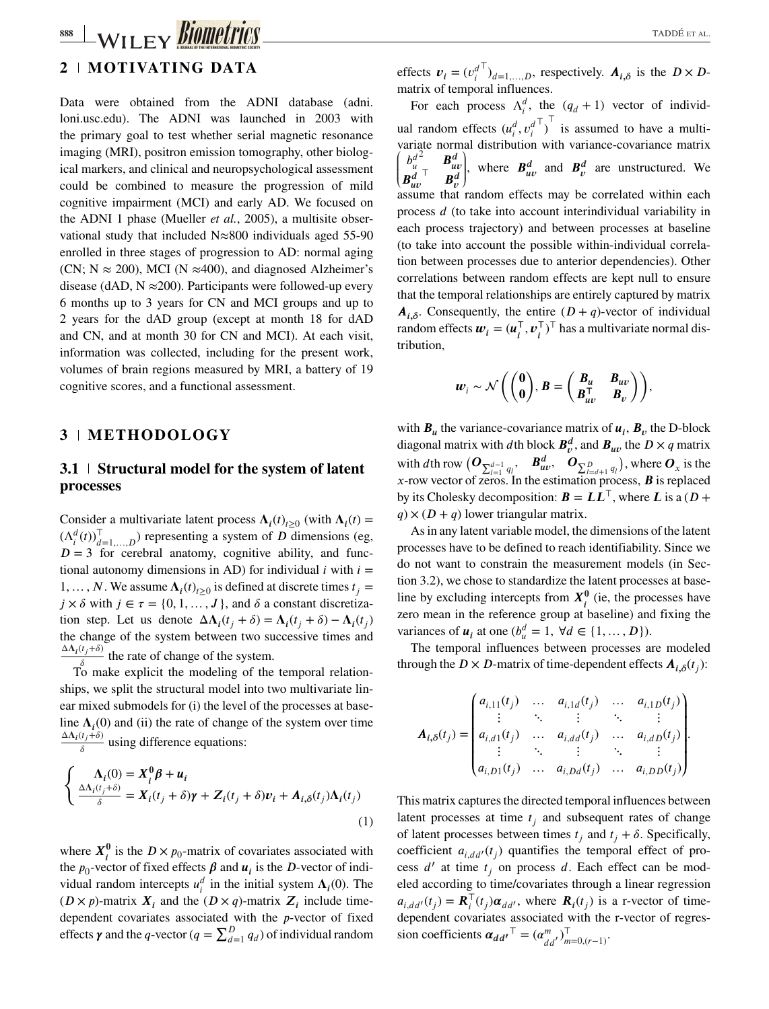# **888 WILEY BIOMETTICS**

# **2 MOTIVATING DATA**

Data were obtained from the ADNI database (adni. loni.usc.edu). The ADNI was launched in 2003 with the primary goal to test whether serial magnetic resonance imaging (MRI), positron emission tomography, other biological markers, and clinical and neuropsychological assessment could be combined to measure the progression of mild cognitive impairment (MCI) and early AD. We focused on the ADNI 1 phase (Mueller *et al.*, 2005), a multisite observational study that included N≈800 individuals aged 55-90 enrolled in three stages of progression to AD: normal aging (CN;  $N \approx 200$ ), MCI (N  $\approx 400$ ), and diagnosed Alzheimer's disease (dAD,  $N \approx 200$ ). Participants were followed-up every 6 months up to 3 years for CN and MCI groups and up to 2 years for the dAD group (except at month 18 for dAD and CN, and at month 30 for CN and MCI). At each visit, information was collected, including for the present work, volumes of brain regions measured by MRI, a battery of 19 cognitive scores, and a functional assessment.

## **3 METHODOLOGY**

# **3.1 Structural model for the system of latent processes**

Consider a multivariate latent process  $\Lambda_i(t)_{t\geq0}$  (with  $\Lambda_i(t)$  =  $(\Lambda_i^d(t))_{d=1,...,D}^{\top}$  representing a system of *D* dimensions (eg, *D* = 3 for cerebral anatomy cognitive ability and func- $D = 3$  for cerebral anatomy, cognitive ability, and functional autonomy dimensions in AD) for individual  $i$  with  $i =$ 1, ..., *N*. We assume  $\Lambda_i(t)_{t>0}$  is defined at discrete times  $t_i =$  $j \times \delta$  with  $j \in \tau = \{0, 1, \ldots, J\}$ , and  $\delta$  a constant discretization step. Let us denote  $\Delta \Lambda_i(t_i + \delta) = \Lambda_i(t_i + \delta) - \Lambda_i(t_i)$ the change of the system between two successive times and  $\frac{\Delta \Lambda_i(t_j+\delta)}{\delta}$  the rate of change of the system.

To make explicit the modeling of the temporal relationships, we split the structural model into two multivariate linear mixed submodels for (i) the level of the processes at baseline  $\Lambda_i(0)$  and (ii) the rate of change of the system over time  $\frac{\Delta \Lambda_i(t_j+\delta)}{\delta}$  using difference equations:

$$
\begin{cases}\n\Lambda_i(0) = X_i^0 \beta + u_i \\
\frac{\Delta \Lambda_i(t_j + \delta)}{\delta} = X_i(t_j + \delta) \gamma + Z_i(t_j + \delta) v_i + A_{i,\delta}(t_j) \Lambda_i(t_j)\n\end{cases} (1)
$$

where  $X_i^0$  is the  $D \times p_0$ -matrix of covariates associated with<br>the n, vector of fixed effects  $\beta$  and  $\mu$ , is the  $D$  vector of indithe  $p_0$ -vector of fixed effects  $\beta$  and  $u_i$  is the D-vector of indi-<br>vidual readom intercents  $u_i^d$  in the initial system  $\Lambda$  (0). The vidual random intercepts  $u_i^d$  in the initial system  $\Lambda_i(0)$ . The  $(D \times n)$  matrix  $Z$  include time  $(D \times p)$ -matrix  $X_i$  and the  $(D \times q)$ -matrix  $Z_i$  include timedependent covariates associated with the  $p$ -vector of fixed dependent covariates associated with the *p*-vector of fixed<br>effects  $\gamma$  and the *q*-vector ( $q = \sum_{d=1}^{D} q_d$ ) of individual random

effects  $v_i = (v_i^d)$ <br>matrix of temporal  $\int_{d=1,...,D}$ , respectively.  $A_{i,\delta}$  is the  $D \times D$ -<br>ral influences matrix of temporal influences.

For each process  $\Lambda_i^d$ , the  $(q_d + 1)$  vector of individual random effects  $(u_i^d, v_i^d)$ <br>variete normal distribution *⊤ ⊤* is assumed to have a multivariate normal distribution with variance-covariance matrix  $\left( \begin{matrix} \cdot \end{matrix} \right)$  $\frac{b_u^{d}}{B_{uv}^d}$  $\begin{bmatrix} \mathbf{B}^d_{uv} \\ \mathbf{F} & \mathbf{B}^d_{uv} \\ \mathbf{F}^d_{uv} & \mathbf{F}^d_{uv} \end{bmatrix}$  $\begin{bmatrix} \frac{1}{2} & \frac{1}{2} \\ \frac{1}{2} & \frac{1}{2} \end{bmatrix}$ , where  $B_{uv}^d$  and  $B_v^d$  are unstructured. We assume that random effects may be correlated within each process  $d$  (to take into account interindividual variability in each process trajectory) and between processes at baseline (to take into account the possible within-individual correlation between processes due to anterior dependencies). Other correlations between random effects are kept null to ensure that the temporal relationships are entirely captured by matrix  $A_{i,\delta}$ . Consequently, the entire  $(D+q)$ -vector of individual random effects  $w_i = (u_i^{\mathsf{T}}, v_i^{\mathsf{T}})^{\mathsf{T}}$  has a multivariate normal distribution tribution,

$$
\boldsymbol{w}_i \sim \mathcal{N}\bigg(\begin{pmatrix} \mathbf{0}\\ \mathbf{0} \end{pmatrix}, \boldsymbol{B} = \begin{pmatrix} \boldsymbol{B}_u & \boldsymbol{B}_{uv}\\ \boldsymbol{B}_{uv}^\top & \boldsymbol{B}_{v} \end{pmatrix}\bigg),
$$

with  $B_u$  the variance-covariance matrix of  $u_i$ ,  $B_v$  the D-block diagonal matrix with dth block  $B_v^d$ , and  $B_{uv}$  the  $D \times q$  matrix with dth row  $(\mathbf{O}_{\sum_{i=1}^{d-1} q_i}, \mathbf{B}_{uv}^d, \mathbf{O}_{\sum_{i=d+1}^p q_i})$ , where  $\mathbf{O}_x$  is the <br>x-row vector of zeros. In the estimation process *R* is replaced x-row vector of zeros. In the estimation process,  $\bm{B}$  is replaced by its Cholesky decomposition:  $\mathbf{B} = LL^\top$ , where L is a (D +  $q \times (D + q)$  lower triangular matrix.

As in any latent variable model, the dimensions of the latent processes have to be defined to reach identifiability. Since we do not want to constrain the measurement models (in Section 3.2), we chose to standardize the latent processes at baseline by excluding intercepts from  $X_i^0$  (ie, the processes have zero mean in the reference group at baseline) and fixing the variances of  $u_i$  at one  $(b_u^d = 1, \forall d \in \{1, ..., D\})$ .<br>The temporal influences between processes a

The temporal influences between processes are modeled through the  $D \times D$ -matrix of time-dependent effects  $A_{i,\delta}(t_i)$ :

$$
\mathbf{A}_{i,\delta}(t_j) = \begin{pmatrix} a_{i,11}(t_j) & \dots & a_{i,1d}(t_j) & \dots & a_{i,1D}(t_j) \\ \vdots & \ddots & \vdots & \ddots & \vdots \\ a_{i,d1}(t_j) & \dots & a_{i,dd}(t_j) & \dots & a_{i,dD}(t_j) \\ \vdots & \ddots & \vdots & \ddots & \vdots \\ a_{i,D1}(t_j) & \dots & a_{i,Dd}(t_j) & \dots & a_{i,DD}(t_j) \end{pmatrix}.
$$

This matrix captures the directed temporal influences between latent processes at time  $t_i$  and subsequent rates of change of latent processes between times  $t_i$  and  $t_i + \delta$ . Specifically, coefficient  $a_{i,dd'}(t_j)$  quantifies the temporal effect of process  $d'$  at time  $t_i$  on process  $d$ . Each effect can be modeled according to time/covariates through a linear regression  $a_{i,dd'}(t_j) = \mathbf{R}_i^T(t_j) \alpha_{dd'}$ , where  $\mathbf{R}_i(t_j)$  is a r-vector of time-<br>dependent equations associated with the r vector of racros dependent covariates associated with the r-vector of regression coefficients  $\boldsymbol{\alpha}_{dd'}^{\top} = (\alpha_{dd'}^m)$ *T*<br>*m*=0*,*(*r*−1).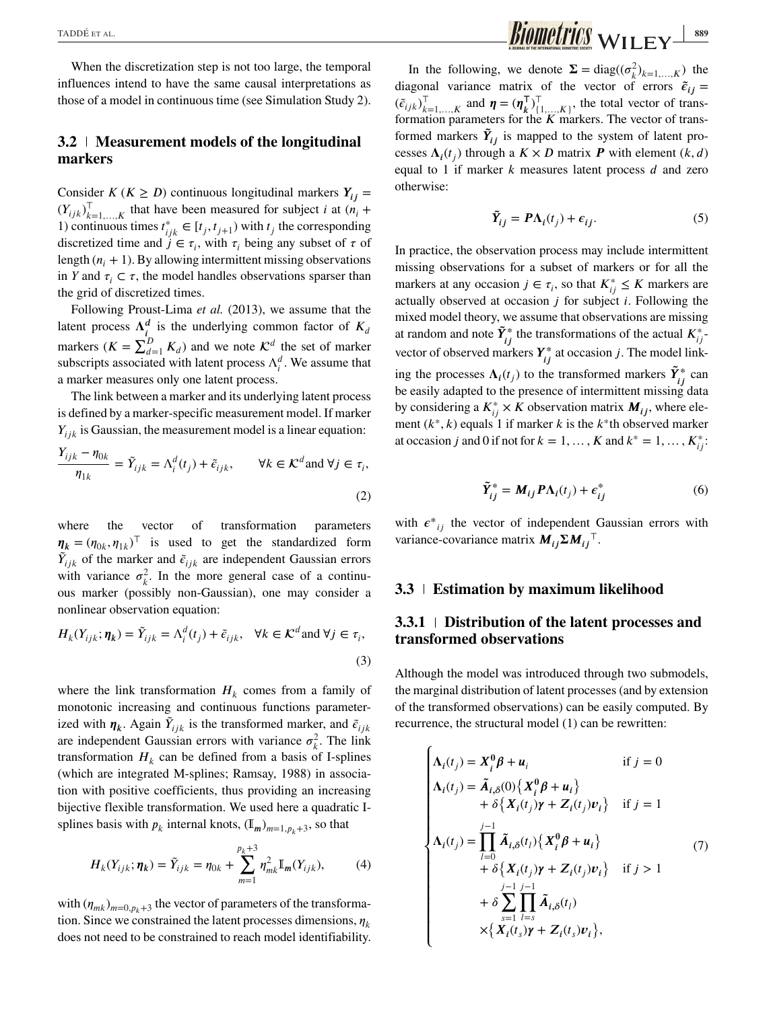When the discretization step is not too large, the temporal influences intend to have the same causal interpretations as those of a model in continuous time (see Simulation Study 2).

## **3.2 Measurement models of the longitudinal markers**

Consider *K* ( $K \ge D$ ) continuous longitudinal markers  $Y_{ij} =$  $(Y_{ijk})_{k=1,...,K}^{\mathbb{T}}$  that have been measured for subject *i* at  $(n_i + 1)$  continuous times  $t^* \in [t_1, t_2]$  with *t* the corresponding 1) continuous times  $t_{ijk}^* \in [t_j, t_{j+1})$  with  $t_j$  the corresponding<br>discretized time and  $i \in \tau$ , with  $\tau$  being any subset of  $\tau$  of discretized time and  $j \in \tau_i$ , with  $\tau_i$  being any subset of  $\tau$  of length  $(n_i + 1)$ . By allowing intermittent missing observations in *Y* and  $\tau_i \subset \tau$ , the model handles observations sparser than the grid of discretized times.

Following Proust-Lima *et al.* (2013), we assume that the latent process  $\Lambda_i^d$  is the underlying common factor of  $K_d$ markers  $(K = \sum_{d=1}^{D} K_d)$  and we note  $\mathcal{K}^d$  the set of marker<br>subscripts associated with latent process  $\Lambda^d$ . We assume that subscripts associated with latent process  $\Lambda_i^d$ . We assume that a marker measures only one latent process.

The link between a marker and its underlying latent process is defined by a marker-specific measurement model. If marker  $Y_{ijk}$  is Gaussian, the measurement model is a linear equation:

$$
\frac{Y_{ijk} - \eta_{0k}}{\eta_{1k}} = \tilde{Y}_{ijk} = \Lambda_i^d(t_j) + \tilde{\epsilon}_{ijk}, \qquad \forall k \in \mathcal{K}^d \text{ and } \forall j \in \tau_i,
$$
\n(2)

where the vector of transformation parameters  $\eta_k = (\eta_{0k}, \eta_{1k})^\top$  is used to get the standardized form<br>  $\tilde{Y}$  of the marker and  $\tilde{c}$  are independent Gaussian errors  $\tilde{Y}_{ijk}$  of the marker and  $\tilde{\epsilon}_{ijk}$  are independent Gaussian errors with variance  $\sigma_k^2$ . In the more general case of a continuous marker (possibly non-Gaussian), one may consider a nonlinear observation equation:

$$
H_k(Y_{ijk}; \eta_k) = \tilde{Y}_{ijk} = \Lambda_i^d(t_j) + \tilde{\epsilon}_{ijk}, \quad \forall k \in \mathcal{K}^d \text{ and } \forall j \in \tau_i,
$$
\n(3)

where the link transformation  $H_k$  comes from a family of monotonic increasing and continuous functions parameterized with  $\eta_k$ . Again  $\tilde{Y}_{ijk}$  is the transformed marker, and  $\tilde{\epsilon}_{ijk}$ are independent Gaussian errors with variance  $\sigma_k^2$ . The link transformation  $H_k$  can be defined from a basis of I-splines (which are integrated M-splines; Ramsay, 1988) in association with positive coefficients, thus providing an increasing bijective flexible transformation. We used here a quadratic Isplines basis with  $p_k$  internal knots,  $(\mathbb{I}_m)_{m=1, p_k+3}$ , so that

$$
H_k(Y_{ijk}; \eta_k) = \tilde{Y}_{ijk} = \eta_{0k} + \sum_{m=1}^{p_k+3} \eta_{mk}^2 \mathbb{I}_m(Y_{ijk}), \qquad (4)
$$

with  $(\eta_{mk})_{m=0,p_k+3}$  the vector of parameters of the transformation. Since we constrained the latent processes dimensions,  $\eta_k$ does not need to be constrained to reach model identifiability.

In the following, we denote  $\Sigma = diag((\sigma_k^2)_{k=1,...,K})$  the diagonal variance matrix of the vector of errors  $\tilde{\epsilon}_{ij}$  =  $(\tilde{\epsilon}_{ijk})_{k=1,...,K}^{\top}$  and  $\boldsymbol{\eta} = (\boldsymbol{\eta}_{k}^{\top})$ <br>formation parameters for the  $\begin{bmatrix} \mathsf{T} \\ \{1,\ldots,K\} \end{bmatrix}$ , the total vector of trans-<br> *E K* markers. The vector of transformation parameters for the  $K$  markers. The vector of transformed markers  $\tilde{Y}_{ij}$  is mapped to the system of latent processes  $\Lambda_i(t_i)$  through a  $K \times D$  matrix **P** with element  $(k, d)$ equal to 1 if marker  $k$  measures latent process  $d$  and zero otherwise:

$$
\tilde{Y}_{ij} = P\Lambda_i(t_j) + \epsilon_{ij}.
$$
 (5)

In practice, the observation process may include intermittent missing observations for a subset of markers or for all the markers at any occasion  $j \in \tau_i$ , so that  $K_{ij}^* \leq K$  markers are<br>actually observed at occasion *i* for subject *i*. Following the actually observed at occasion  $j$  for subject  $i$ . Following the mixed model theory, we assume that observations are missing at random and note  $\tilde{Y}_{ij}^*$  the transformations of the actual  $K_{ij}^*$ . vector of observed markers  $Y_{ij}^*$  at occasion j. The model linking the processes  $\Lambda_i(t_j)$  to the transformed markers  $\tilde{Y}_{ij}^*$  can<br>be easily adopted to the presence of intermittent missing data be easily adapted to the presence of intermittent missing data by considering a  $K_{ij}^* \times K$  observation matrix  $M_{ij}$ , where ele-<br>ment  $(k^* | k)$  equals 1 if marker k is the k\*th observed marker ment  $(k^*, k)$  equals 1 if marker k is the  $k^*$ th observed marker at occasion *j* and 0 if not for  $k = 1, ..., K$  and  $k^* = 1, ..., K^*_{ij}$ .

$$
\tilde{\mathbf{Y}}_{ij}^* = \mathbf{M}_{ij} \mathbf{P} \Lambda_i(t_j) + \epsilon_{ij}^* \tag{6}
$$

with  $\epsilon^*_{ij}$  the vector of independent Gaussian errors with variance-covariance matrix  $M_{ij} \Sigma M_{ij}$ <sup>T</sup>.

### **3.3 Estimation by maximum likelihood**

## **3.3.1 Distribution of the latent processes and transformed observations**

Although the model was introduced through two submodels, the marginal distribution of latent processes (and by extension of the transformed observations) can be easily computed. By recurrence, the structural model (1) can be rewritten:

$$
\begin{cases}\n\Lambda_i(t_j) = X_i^0 \beta + u_i & \text{if } j = 0 \\
\Lambda_i(t_j) = \tilde{A}_{i,\delta}(0) \{ X_i^0 \beta + u_i \} \\
+ \delta \{ X_i(t_j) \gamma + Z_i(t_j) v_i \} & \text{if } j = 1\n\end{cases}
$$
\n
$$
\Lambda_i(t_j) = \prod_{l=0}^{j-1} \tilde{A}_{i,\delta}(t_l) \{ X_i^0 \beta + u_i \} \qquad (7)
$$
\n
$$
+ \delta \{ X_i(t_j) \gamma + Z_i(t_j) v_i \} & \text{if } j > 1
$$
\n
$$
+ \delta \sum_{s=1}^{j-1} \prod_{l=s}^{j-1} \tilde{A}_{i,\delta}(t_l) \\
\times \{ X_i(t_s) \gamma + Z_i(t_s) v_i \},
$$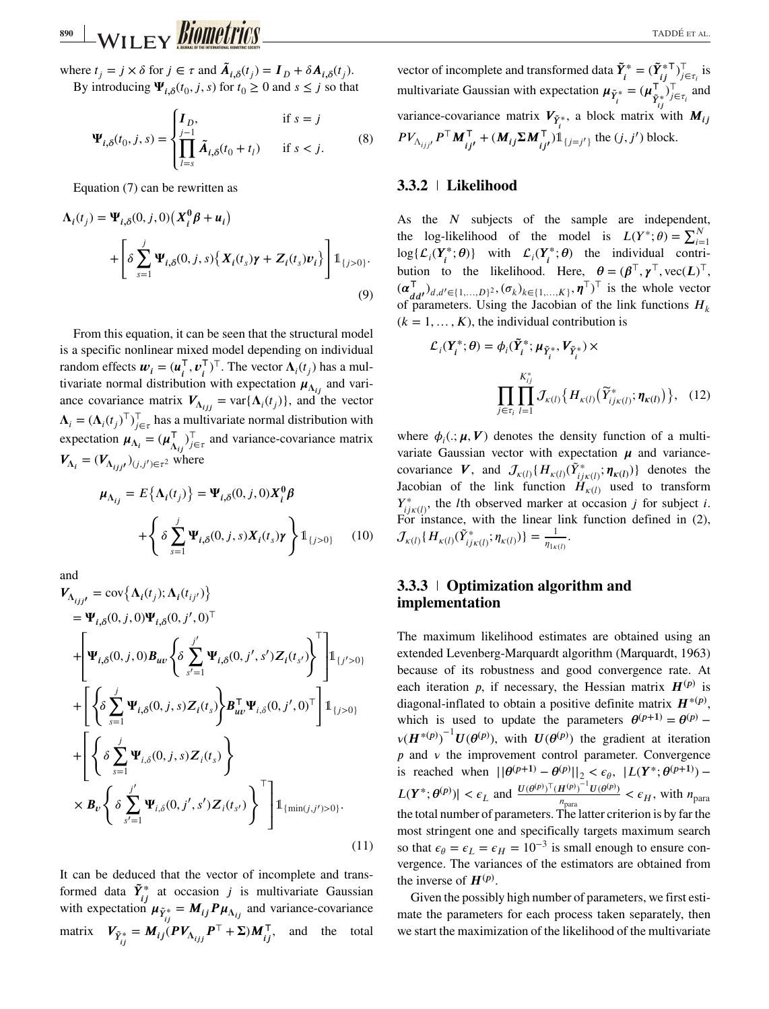where  $t_j = j \times \delta$  for  $j \in \tau$  and  $\tilde{A}_{i,\delta}(t_j) = I_D + \delta A_{i,\delta}(t_j)$ .<br>By introducing  $\Psi$  (*t*, *i*, *s*) for  $t > 0$  and  $s < i$  so that By introducing  $\Psi_{i,\delta}(t_0, j, s)$  for  $t_0 \ge 0$  and  $s \le j$  so that

$$
\Psi_{i,\delta}(t_0,j,s) = \begin{cases} I_D, & \text{if } s = j \\ \prod_{l=s}^{j-1} \tilde{A}_{i,\delta}(t_0 + t_l) & \text{if } s < j. \end{cases} \tag{8}
$$

Equation (7) can be rewritten as

$$
\Lambda_i(t_j) = \Psi_{i,\delta}(0, j, 0) \left( X_i^0 \beta + u_i \right)
$$
  
+ 
$$
\left[ \delta \sum_{s=1}^j \Psi_{i,\delta}(0, j, s) \left\{ X_i(t_s) \gamma + Z_i(t_s) v_i \right\} \right] \mathbb{1}_{\{j > 0\}}.
$$
  
(9)

From this equation, it can be seen that the structural model is a specific nonlinear mixed model depending on individual random effects  $\mathbf{w}_i = (\mathbf{u}_i^\top, \mathbf{v}_i^\top)^\top$ . The vector  $\Lambda_i(t_j)$  has a multivariate normal distribution with expectation  $\mathbf{u}_i$  and varitivariate normal distribution with expectation  $\mu_{\Lambda_{ij}}$  and variance covariance matrix  $V_{\Lambda_{ij}} = \text{var}\{\Lambda_i(t_j)\}\text{, and the vector}$  $\Lambda_i = (\Lambda_i(t_j)^{\top})^{\top}_{j \in \tau}$  has a multivariate normal distribution with exponentially experience protive expectation  $\mu_{\Lambda_i} = (\mu_{\Lambda_{ij}}^T)$  $T$ <sub>*j*∈τ</sub> and variance-covariance matrix  $V_{\Lambda_i} = (V_{\Lambda_{i,i},j})_{(j,j') \in \tau^2}$  where

$$
\mu_{\Lambda_{ij}} = E\{\Lambda_i(t_j)\} = \Psi_{i,\delta}(0, j, 0) X_i^0 \beta
$$

$$
+ \left\{\delta \sum_{s=1}^j \Psi_{i,\delta}(0, j, s) X_i(t_s) \gamma \right\} \mathbb{1}_{\{j > 0\}} \qquad (10)
$$

and

and  
\n
$$
\mathbf{V}_{\Lambda_{ij}j} = \text{cov}\{\Lambda_i(t_j); \Lambda_i(t_{ij'})\}
$$
\n
$$
= \mathbf{\Psi}_{i,\delta}(0, j, 0) \mathbf{\Psi}_{i,\delta}(0, j', 0)^{\top}
$$
\n
$$
+ \left[\mathbf{\Psi}_{i,\delta}(0, j, 0) \mathbf{B}_{uv} \left\{\delta \sum_{s'=1}^{j'} \mathbf{\Psi}_{i,\delta}(0, j', s') Z_i(t_{s'})\right\}^{\top}\right] \mathbb{1}_{\{j' > 0\}}
$$
\n
$$
+ \left[\left\{\delta \sum_{s=1}^{j} \mathbf{\Psi}_{i,\delta}(0, j, s) Z_i(t_s) \right\} \mathbf{B}_{uv}^{\top} \mathbf{\Psi}_{i,\delta}(0, j', 0)^{\top}\right] \mathbb{1}_{\{j > 0\}}
$$
\n
$$
+ \left[\left\{\delta \sum_{s=1}^{j} \mathbf{\Psi}_{i,\delta}(0, j, s) Z_i(t_s) \right\}
$$
\n
$$
\times \mathbf{B}_{v} \left\{\delta \sum_{s'=1}^{j'} \mathbf{\Psi}_{i,\delta}(0, j', s') Z_i(t_{s'})\right\}^{\top}\right] \mathbb{1}_{\{\min(j,j') > 0\}}.
$$
\n(11)

It can be deduced that the vector of incomplete and transformed data  $\tilde{Y}_{ij}^*$  at occasion *j* is multivariate Gaussian with expectation  $\mu_{\tilde{Y}_{ij}^*} = M_{ij} P \mu_{\Lambda_{ij}}$  and variance-covariance matrix  $V_{\tilde{Y}_{ij}^*} = M_{ij} (PV_{\Lambda_{ijj}} P^\top + \Sigma) M_{ij}^\top$ , and the total vector of incomplete and transformed data  $\tilde{Y}_i^* = (\tilde{Y}_{i,j}^* \top)$  $T_{j \in \tau_i}$  is multivariate Gaussian with expectation  $\mu_{\tilde{Y}_i^*} = (\mu_{\tilde{Y}_{i}^*}^{\mathsf{T}})$ variance-covariance matrix  $V_{\tilde{Y}_i^*}$ , a block matrix with  $M_{ij}$  $\int_{j\in\tau_i}^{\tau}$  and  $PV_{\Lambda_{ijj'}}P^{\top}M_{ij'}^{\top} + (M_{ij}\Sigma M_{ij'}^{\top})\mathbb{1}_{\{j=j'\}}$  the  $(j, j')$  block.

## **3.3.2 Likelihood**

As the  $N$  subjects of the sample are independent, the log-likelihood of the model is  $L(Y^*; \theta) = \sum_{i=1}^N$ log{ $\mathcal{L}_i(Y_i^*, \theta)$ } with  $\mathcal{L}_i(Y_i^*, \theta)$  the individual contri-<br>hyting to the likelihood. Here  $\theta = (\theta_1^T \text{ or } \cos(\theta_1)^T$ bution to the likelihood. Here,  $\theta = (\beta^{\top}, \gamma^{\top}, \text{vec}(L))^{\top}$ ,  $(\alpha^{\top}, \beta^{\top}, \gamma^{\top}, \text{vec}(L))^{\top}$  $(\boldsymbol{\alpha}_{d}^{\mathsf{T}})_{d,d' \in \{1,\dots,D\}^2}, (\sigma_k)_{k \in \{1,\dots,K\}}, \boldsymbol{\eta}^{\mathsf{T}})^{\mathsf{T}}$  is the whole vector of parameters. Heing the localism of the link functions  $\boldsymbol{H}$ of parameters. Using the Jacobian of the link functions  $H_k$  $(k = 1, \ldots, K)$ , the individual contribution is

$$
\mathcal{L}_i(\mathbf{Y}_i^*; \boldsymbol{\theta}) = \phi_i(\tilde{\mathbf{Y}}_i^*; \boldsymbol{\mu}_{\tilde{\mathbf{Y}}_i^*}, \boldsymbol{V}_{\tilde{\mathbf{Y}}_i^*}) \times \prod_{j \in \tau_i} \prod_{l=1}^{K_{ij}^*} \mathcal{J}_{\kappa(l)}\big\{ H_{\kappa(l)}(\tilde{Y}_{ij\kappa(l)}^*; \boldsymbol{\eta}_{\kappa(l)}) \big\}, \quad (12)
$$

where  $\phi_i$ .  $\mu$ ,  $V$ ) denotes the density function of a multivariate Gaussian vector with expectation  $\mu$  and variancecovariance **V**, and  $\mathcal{J}_{\kappa(l)}\{H_{\kappa(l)}(\tilde{Y}_{ijk(l)}^*, \boldsymbol{\eta}_{\kappa(l)})\}$  denotes the lacobian of the link function  $H_{\kappa(l)}$  used to transform Jacobian of the link function  $H_{\kappa(l)}$  used to transform  $Y^*_{i j k(l)}$ , the *l*th observed marker at occasion *j* for subject *i*.  $T_{ijk(l)}$ , the run observed market at occasion f for stable t.<br>For instance, with the linear link function defined in (2),  $\mathcal{J}_{\kappa(l)}\{H_{\kappa(l)}(\tilde{Y}_{ij\kappa(l)}^*; \eta_{\kappa(l)})\} = \frac{1}{\eta_{1\kappa(l)}}$ .

# **3.3.3 Optimization algorithm and implementation**

The maximum likelihood estimates are obtained using an extended Levenberg-Marquardt algorithm (Marquardt, 1963) because of its robustness and good convergence rate. At each iteration p, if necessary, the Hessian matrix  $H^{(p)}$  is diagonal-inflated to obtain a positive definite matrix  $\mathbf{H}^{*(p)}$ , which is used to update the parameters  $\theta^{(p+1)} = \theta^{(p)}$  –  $v(H^{*(p)})^{-1}U(\theta^{(p)})$ , with  $U(\theta^{(p)})$  the gradient at iteration  $\overrightarrow{p}$  and  $\overrightarrow{v}$  the improvement control parameter. Convergence is reached when  $||\theta^{(p+1)} - \theta^{(p)}||_2 < \epsilon_{\theta}$ ,  $|L(Y^*; \theta^{(p+1)}) - L(\theta^{(p)})|_2 \leq \epsilon_{\theta}$  $|L(Y^*; \theta^{(p)})| < \epsilon_L$  and  $\frac{U(\theta^{(p)})^{\top} (H^{(p)})^{-1} U(\theta^{(p)})}{n_{\text{para}}}$  $\frac{H^{(p)} - U(\theta^{(p)})}{n_{\text{para}}} < \epsilon_H$ , with  $n_{\text{para}}$ the total number of parameters. The latter criterion is by far the most stringent one and specifically targets maximum search so that  $\epsilon_{\theta} = \epsilon_L = \epsilon_H = 10^{-3}$  is small enough to ensure convergence. The variances of the estimators are obtained from the inverse of  $H^{(p)}$ .

Given the possibly high number of parameters, we first estimate the parameters for each process taken separately, then we start the maximization of the likelihood of the multivariate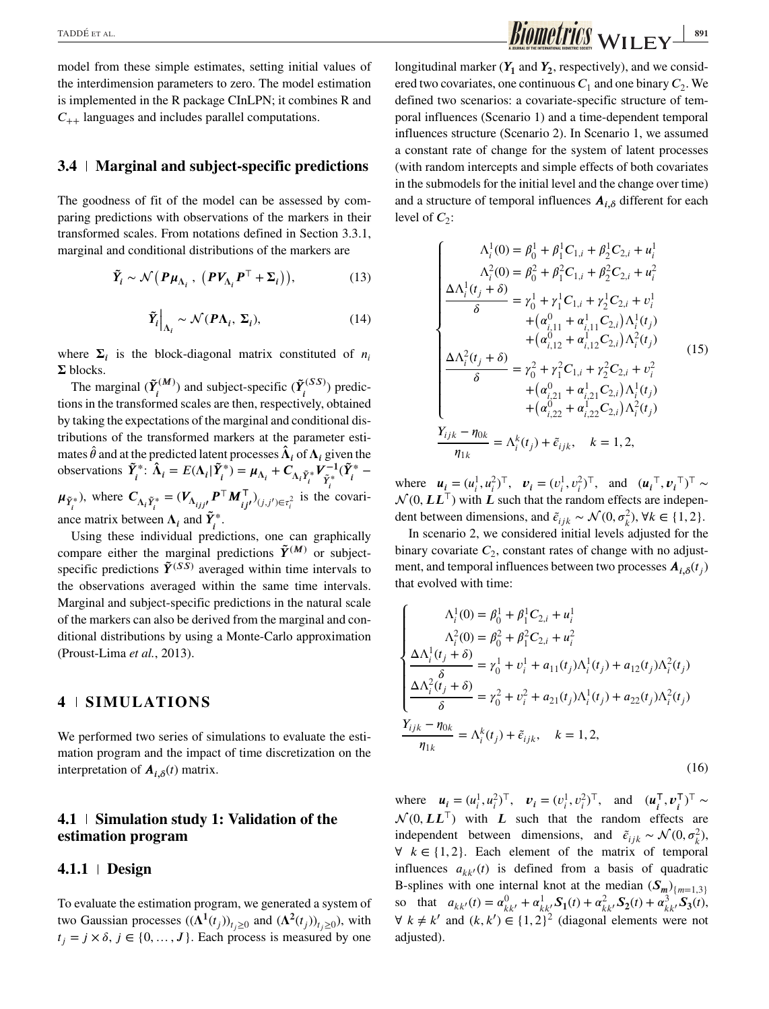model from these simple estimates, setting initial values of the interdimension parameters to zero. The model estimation is implemented in the R package CInLPN; it combines R and  $C_{++}$  languages and includes parallel computations.

#### **3.4 Marginal and subject-specific predictions**

The goodness of fit of the model can be assessed by comparing predictions with observations of the markers in their transformed scales. From notations defined in Section 3.3.1, marginal and conditional distributions of the markers are

$$
\tilde{Y}_i \sim \mathcal{N}\left(\boldsymbol{P}\boldsymbol{\mu}_{\Lambda_i},\ \left(\boldsymbol{P}\boldsymbol{V}_{\Lambda_i}\boldsymbol{P}^\top + \boldsymbol{\Sigma}_i\right)\right),\tag{13}
$$

$$
\tilde{Y}_i\Big|_{\Lambda_i} \sim \mathcal{N}(P\Lambda_i, \Sigma_i),\tag{14}
$$

where  $\Sigma_i$  is the block-diagonal matrix constituted of  $n_i$  $\Sigma$  blocks.

The marginal  $(\tilde{Y}_i^{(M)})$  and subject-specific  $(\tilde{Y}_i^{(SS)})$  predictions in the transformed scales are then, respectively, obtained by taking the expectations of the marginal and conditional distributions of the transformed markers at the parameter estimates  $\hat{\theta}$  and at the predicted latent processes  $\hat{\Lambda}_i$  of  $\Lambda_i$  given the observations  $\tilde{Y}_i^*$ :  $\hat{\Lambda}_i = E(\Lambda_i | \tilde{Y}_i^*) = \mu_{\Lambda_i} + C_{\Lambda_i \tilde{Y}_i^*} V_{\tilde{Y}_i^*}^{-1} (\tilde{Y}_i^* \mu_{\tilde{Y}_i^*}$ ), where  $C_{\Lambda_i \tilde{Y}_i^*} = (\nu_{\Lambda_{i j j'}} P^\top M^\top_{i j'})_{(j, j') \in \tau_i^2}$  is the covariance matrix between  $\Lambda_i$  and  $\tilde{Y}_i^*$ .

Using these individual predictions, one can graphically compare either the marginal predictions  $\tilde{Y}^{(M)}$  or subjectspecific predictions  $\tilde{\mathbf{\gamma}}^{(SS)}$  averaged within time intervals to the observations averaged within the same time intervals. Marginal and subject-specific predictions in the natural scale of the markers can also be derived from the marginal and conditional distributions by using a Monte-Carlo approximation (Proust-Lima *et al.*, 2013).

## **4 SIMULATIONS**

We performed two series of simulations to evaluate the estimation program and the impact of time discretization on the interpretation of  $A_{i,\delta}(t)$  matrix.

## **4.1 Simulation study 1: Validation of the estimation program**

#### **4.1.1 Design**

To evaluate the estimation program, we generated a system of two Gaussian processes  $((\Lambda^1(t_j))_{t_i\geq 0}$  and  $(\Lambda^2(t_j))_{t_i\geq 0}$ , with  $t_i = j \times \delta, j \in \{0, ..., J\}$ . Each process is measured by one longitudinal marker  $(Y_1$  and  $Y_2$ , respectively), and we considered two covariates, one continuous  $C_1$  and one binary  $C_2$ . We<br>defined two scenarios: a covariate specific structure of tem defined two scenarios: a covariate-specific structure of temporal influences (Scenario 1) and a time-dependent temporal influences structure (Scenario 2). In Scenario 1, we assumed a constant rate of change for the system of latent processes (with random intercepts and simple effects of both covariates in the submodels for the initial level and the change over time) and a structure of temporal influences  $A_{i,\delta}$  different for each level of  $C_2$ :

$$
\begin{cases}\n\Lambda_{i}^{1}(0) = \beta_{0}^{1} + \beta_{1}^{1}C_{1,i} + \beta_{2}^{1}C_{2,i} + u_{i}^{1} \\
\Lambda_{i}^{2}(0) = \beta_{0}^{2} + \beta_{1}^{2}C_{1,i} + \beta_{2}^{2}C_{2,i} + u_{i}^{2} \\
\frac{\Delta\Lambda_{i}^{1}(t_{j} + \delta)}{\delta} = \gamma_{0}^{1} + \gamma_{1}^{1}C_{1,i} + \gamma_{2}^{1}C_{2,i} + v_{i}^{1} \\
+ (a_{i,11}^{0} + a_{i,11}^{1}C_{2,i})\Lambda_{i}^{1}(t_{j}) \\
+ (a_{i,12}^{0} + a_{i,12}^{1}C_{2,i})\Lambda_{i}^{2}(t_{j}) \\
\frac{\Delta\Lambda_{i}^{2}(t_{j} + \delta)}{\delta} = \gamma_{0}^{2} + \gamma_{1}^{2}C_{1,i} + \gamma_{2}^{2}C_{2,i} + v_{i}^{2} \\
+ (a_{i,21}^{0} + a_{i,21}^{1}C_{2,i})\Lambda_{i}^{1}(t_{j}) \\
+ (a_{i,22}^{0} + a_{i,22}^{1}C_{2,i})\Lambda_{i}^{2}(t_{j}) \\
\frac{Y_{ijk} - \eta_{0k}}{\eta_{1k}} = \Lambda_{i}^{k}(t_{j}) + \tilde{\epsilon}_{ijk}, \quad k = 1, 2,\n\end{cases}
$$

where  $u_i = (u_i^1, u_i^2)^T$ ,  $v_i = (v_i^1, v_i^2)^T$ , and  $(u_i^T, v_i^T)^T$ <br>  $\Delta^2$  *LO LLT*, with *L* such that the random effects are independent  $\mathcal{N}(0, LL^{\top})$  with  $L$  such that the random effects are indepen-<br>dent between dimensions and  $\tilde{c} \sim \mathcal{N}(0, \sigma^2)$ ,  $\forall k \in \{1, 2\}$ dent between dimensions, and  $\tilde{\epsilon}_{ijk} \sim \mathcal{N}(0, \sigma_k^2)$ ,  $\forall k \in \{1, 2\}$ .<br>In scenario 2, we considered initial layels educted for the

In scenario 2, we considered initial levels adjusted for the binary covariate  $C_2$ , constant rates of change with no adjust-<br>ment and tamporal influences between two processes  $A_{\alpha}(t)$ ment, and temporal influences between two processes  $A_{i,\delta}(t_i)$ that evolved with time:

$$
\begin{cases}\n\Lambda_i^1(0) = \beta_0^1 + \beta_1^1 C_{2,i} + u_i^1 \\
\Lambda_i^2(0) = \beta_0^2 + \beta_1^2 C_{2,i} + u_i^2 \\
\frac{\Delta \Lambda_i^1(t_j + \delta)}{\delta} = \gamma_0^1 + v_i^1 + a_{11}(t_j) \Lambda_i^1(t_j) + a_{12}(t_j) \Lambda_i^2(t_j) \\
\frac{\Delta \Lambda_i^2(t_j + \delta)}{\delta} = \gamma_0^2 + v_i^2 + a_{21}(t_j) \Lambda_i^1(t_j) + a_{22}(t_j) \Lambda_i^2(t_j) \\
\frac{Y_{ijk} - \eta_{0k}}{\eta_{1k}} = \Lambda_i^k(t_j) + \tilde{\epsilon}_{ijk}, \quad k = 1, 2,\n\end{cases} (16)
$$

where  $u_i = (u_i^1, u_i^2)^\top$ ,  $v_i = (v_i^1, v_i^2)^\top$ , and  $(u_i^\top, v_i^\top)^\top$ where  $u_i = (u_i, u_i)$ ,  $v_i = (v_i, v_i)$ , and  $(u_i, v_i)$ independent between dimensions, and  $\tilde{\epsilon}_{ijk} \sim \mathcal{N}(0, \sigma_k^2)$ ,<br> $\forall k \in \{1, 2\}$ , Each element of the matrix of temporal  $\forall k \in \{1, 2\}$ . Each element of the matrix of temporal influences  $a_{kk'}(t)$  is defined from a basis of quadratic B-splines with one internal knot at the median  $(S_m)_{m=1,3}$ so that  $a_{kk'}(t) = \alpha_{kk'}^0 + \alpha_{kk'}^1 S_1(t) + \alpha_{kk'}^2 S_2(t) + \alpha_{kk'}^3 S_3(t)$  $\forall k \neq k'$  and  $(k, k') \in \{1, 2\}^2$  (diagonal elements were not adjusted).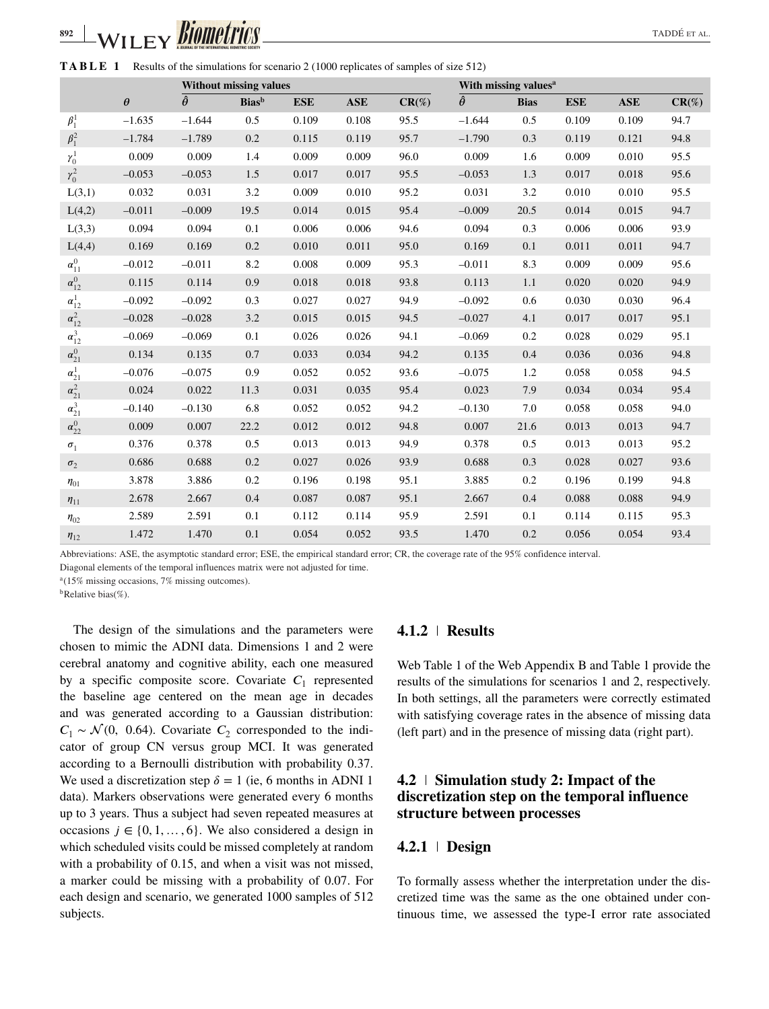**TABLE 1** Results of the simulations for scenario 2 (1000 replicates of samples of size 512)

|                 |          |                 | <b>Without missing values</b> |            |                |          |                 | With missing values <sup>a</sup> |            |            |          |
|-----------------|----------|-----------------|-------------------------------|------------|----------------|----------|-----------------|----------------------------------|------------|------------|----------|
|                 | $\theta$ | $\ddot{\theta}$ | <b>Bias</b> <sup>b</sup>      | <b>ESE</b> | $\mathbf{ASE}$ | $CR(\%)$ | $\ddot{\theta}$ | <b>Bias</b>                      | <b>ESE</b> | <b>ASE</b> | $CR(\%)$ |
| $\beta_1^1$     | $-1.635$ | $-1.644$        | 0.5                           | 0.109      | 0.108          | 95.5     | $-1.644$        | 0.5                              | 0.109      | 0.109      | 94.7     |
| $\beta_1^2$     | $-1.784$ | $-1.789$        | 0.2                           | 0.115      | 0.119          | 95.7     | $-1.790$        | 0.3                              | 0.119      | 0.121      | 94.8     |
| $\gamma_0^1$    | 0.009    | 0.009           | 1.4                           | 0.009      | 0.009          | 96.0     | 0.009           | 1.6                              | 0.009      | 0.010      | 95.5     |
| $\gamma_0^2$    | $-0.053$ | $-0.053$        | 1.5                           | 0.017      | 0.017          | 95.5     | $-0.053$        | 1.3                              | 0.017      | 0.018      | 95.6     |
| L(3,1)          | 0.032    | 0.031           | 3.2                           | 0.009      | 0.010          | 95.2     | 0.031           | 3.2                              | 0.010      | 0.010      | 95.5     |
| L(4,2)          | $-0.011$ | $-0.009$        | 19.5                          | 0.014      | 0.015          | 95.4     | $-0.009$        | 20.5                             | 0.014      | 0.015      | 94.7     |
| L(3,3)          | 0.094    | 0.094           | 0.1                           | 0.006      | 0.006          | 94.6     | 0.094           | 0.3                              | 0.006      | 0.006      | 93.9     |
| L(4,4)          | 0.169    | 0.169           | 0.2                           | 0.010      | 0.011          | 95.0     | 0.169           | 0.1                              | 0.011      | 0.011      | 94.7     |
| $\alpha_{11}^0$ | $-0.012$ | $-0.011$        | 8.2                           | 0.008      | 0.009          | 95.3     | $-0.011$        | 8.3                              | 0.009      | 0.009      | 95.6     |
| $\alpha_{12}^0$ | 0.115    | 0.114           | 0.9                           | 0.018      | 0.018          | 93.8     | 0.113           | 1.1                              | 0.020      | 0.020      | 94.9     |
| $\alpha_{12}^1$ | $-0.092$ | $-0.092$        | 0.3                           | 0.027      | 0.027          | 94.9     | $-0.092$        | 0.6                              | 0.030      | 0.030      | 96.4     |
| $\alpha_{12}^2$ | $-0.028$ | $-0.028$        | 3.2                           | 0.015      | 0.015          | 94.5     | $-0.027$        | 4.1                              | 0.017      | 0.017      | 95.1     |
| $\alpha_{12}^3$ | $-0.069$ | $-0.069$        | 0.1                           | 0.026      | 0.026          | 94.1     | $-0.069$        | 0.2                              | 0.028      | 0.029      | 95.1     |
| $\alpha_{21}^0$ | 0.134    | 0.135           | 0.7                           | 0.033      | 0.034          | 94.2     | 0.135           | 0.4                              | 0.036      | 0.036      | 94.8     |
| $\alpha_{21}^1$ | $-0.076$ | $-0.075$        | 0.9                           | 0.052      | 0.052          | 93.6     | $-0.075$        | 1.2                              | 0.058      | 0.058      | 94.5     |
| $\alpha_{21}^2$ | 0.024    | 0.022           | 11.3                          | 0.031      | 0.035          | 95.4     | 0.023           | 7.9                              | 0.034      | 0.034      | 95.4     |
| $\alpha_{21}^3$ | $-0.140$ | $-0.130$        | 6.8                           | 0.052      | 0.052          | 94.2     | $-0.130$        | 7.0                              | 0.058      | 0.058      | 94.0     |
| $\alpha_{22}^0$ | 0.009    | 0.007           | 22.2                          | 0.012      | 0.012          | 94.8     | 0.007           | 21.6                             | 0.013      | 0.013      | 94.7     |
| $\sigma_1$      | 0.376    | 0.378           | 0.5                           | 0.013      | 0.013          | 94.9     | 0.378           | 0.5                              | 0.013      | 0.013      | 95.2     |
| $\sigma_2$      | 0.686    | 0.688           | 0.2                           | 0.027      | 0.026          | 93.9     | 0.688           | 0.3                              | 0.028      | 0.027      | 93.6     |
| $n_{01}$        | 3.878    | 3.886           | 0.2                           | 0.196      | 0.198          | 95.1     | 3.885           | 0.2                              | 0.196      | 0.199      | 94.8     |
| $\eta_{11}$     | 2.678    | 2.667           | 0.4                           | 0.087      | 0.087          | 95.1     | 2.667           | 0.4                              | 0.088      | 0.088      | 94.9     |
| $n_{02}$        | 2.589    | 2.591           | 0.1                           | 0.112      | 0.114          | 95.9     | 2.591           | 0.1                              | 0.114      | 0.115      | 95.3     |
| $n_{12}$        | 1.472    | 1.470           | 0.1                           | 0.054      | 0.052          | 93.5     | 1.470           | 0.2                              | 0.056      | 0.054      | 93.4     |

Abbreviations: ASE, the asymptotic standard error; ESE, the empirical standard error; CR, the coverage rate of the 95% confidence interval.

Diagonal elements of the temporal influences matrix were not adjusted for time.

<sup>a</sup>(15% missing occasions, 7% missing outcomes).

<sup>b</sup>Relative bias(%).

The design of the simulations and the parameters were chosen to mimic the ADNI data. Dimensions 1 and 2 were cerebral anatomy and cognitive ability, each one measured by a specific composite score. Covariate  $C_1$  represented<br>the baseline are centered on the mean are in decoder the baseline age centered on the mean age in decades and was generated according to a Gaussian distribution:  $C_1 \sim \mathcal{N}(0, 0.64)$ . Covariate  $C_2$  corresponded to the indicator of group CN versus group MCL It was generated cator of group CN versus group MCI. It was generated according to a Bernoulli distribution with probability 0.37. We used a discretization step  $\delta = 1$  (ie, 6 months in ADNI 1 data). Markers observations were generated every 6 months up to 3 years. Thus a subject had seven repeated measures at occasions  $j \in \{0, 1, \ldots, 6\}$ . We also considered a design in which scheduled visits could be missed completely at random with a probability of 0.15, and when a visit was not missed, a marker could be missing with a probability of 0.07. For each design and scenario, we generated 1000 samples of 512 subjects.

## **4.1.2 Results**

Web Table 1 of the Web Appendix B and Table 1 provide the results of the simulations for scenarios 1 and 2, respectively. In both settings, all the parameters were correctly estimated with satisfying coverage rates in the absence of missing data (left part) and in the presence of missing data (right part).

# **4.2 Simulation study 2: Impact of the discretization step on the temporal influence structure between processes**

## **4.2.1 Design**

To formally assess whether the interpretation under the discretized time was the same as the one obtained under continuous time, we assessed the type-I error rate associated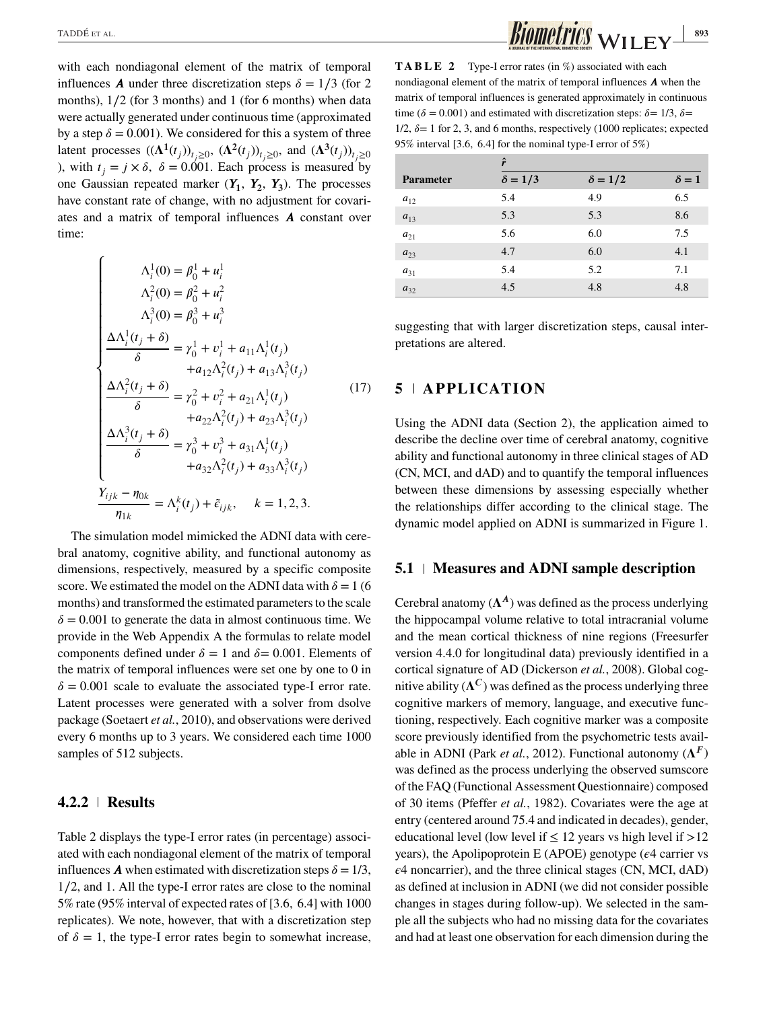with each nondiagonal element of the matrix of temporal influences **A** under three discretization steps  $\delta = 1/3$  (for 2) months), 1∕2 (for 3 months) and 1 (for 6 months) when data were actually generated under continuous time (approximated by a step  $\delta = 0.001$ ). We considered for this a system of three latent processes  $((\Lambda^1(t_j))_{t_i\geq 0}, (\Lambda^2(t_j))_{t_i\geq 0}$ , and  $(\Lambda^3(t_j))_{t_i\geq 0}$ ), with  $t_i = j \times \delta$ ,  $\delta = 0.001$ . Each process is measured by one Gaussian repeated marker  $(Y_1, Y_2, Y_3)$ . The processes have constant rate of change, with no adjustment for covariates and a matrix of temporal influences  $\boldsymbol{A}$  constant over time:

$$
\begin{cases}\n\Lambda_i^1(0) = \beta_0^1 + u_i^1 \\
\Lambda_i^2(0) = \beta_0^2 + u_i^2 \\
\Lambda_i^3(0) = \beta_0^3 + u_i^3\n\end{cases}
$$
\n
$$
\frac{\Delta \Lambda_i^1(t_j + \delta)}{\delta} = \gamma_0^1 + v_i^1 + a_{11} \Lambda_i^1(t_j)
$$
\n
$$
+ a_{12} \Lambda_i^2(t_j) + a_{13} \Lambda_i^3(t_j)
$$
\n
$$
\frac{\Delta \Lambda_i^2(t_j + \delta)}{\delta} = \gamma_0^2 + v_i^2 + a_{21} \Lambda_i^1(t_j)
$$
\n
$$
+ a_{22} \Lambda_i^2(t_j) + a_{23} \Lambda_i^3(t_j)
$$
\n
$$
\frac{\Delta \Lambda_i^3(t_j + \delta)}{\delta} = \gamma_0^3 + v_i^3 + a_{31} \Lambda_i^1(t_j)
$$
\n
$$
+ a_{32} \Lambda_i^2(t_j) + a_{33} \Lambda_i^3(t_j)
$$
\n
$$
\frac{Y_{ijk} - \eta_{0k}}{\eta_{1k}} = \Lambda_i^k(t_j) + \tilde{\epsilon}_{ijk}, \quad k = 1, 2, 3.
$$

The simulation model mimicked the ADNI data with cerebral anatomy, cognitive ability, and functional autonomy as dimensions, respectively, measured by a specific composite score. We estimated the model on the ADNI data with  $\delta = 1$  (6 months) and transformed the estimated parameters to the scale  $\delta = 0.001$  to generate the data in almost continuous time. We provide in the Web Appendix A the formulas to relate model components defined under  $\delta = 1$  and  $\delta = 0.001$ . Elements of the matrix of temporal influences were set one by one to 0 in  $\delta = 0.001$  scale to evaluate the associated type-I error rate. Latent processes were generated with a solver from dsolve package (Soetaert *et al.*, 2010), and observations were derived every 6 months up to 3 years. We considered each time 1000 samples of 512 subjects.

#### **4.2.2 Results**

Table 2 displays the type-I error rates (in percentage) associated with each nondiagonal element of the matrix of temporal influences **A** when estimated with discretization steps  $\delta = 1/3$ , 1∕2, and 1. All the type-I error rates are close to the nominal 5% rate (95% interval of expected rates of [3*.*6*,* 6*.*4] with 1000 replicates). We note, however, that with a discretization step of  $\delta = 1$ , the type-I error rates begin to somewhat increase,

**TABLE 2** Type-I error rates (in %) associated with each nondiagonal element of the matrix of temporal influences  $A$  when the matrix of temporal influences is generated approximately in continuous time ( $\delta = 0.001$ ) and estimated with discretization steps:  $\delta = 1/3$ ,  $\delta =$  $1/2$ ,  $\delta = 1$  for 2, 3, and 6 months, respectively (1000 replicates; expected 95% interval [3*.*6*,* 6*.*4] for the nominal type-I error of 5%)

|                  | ŕ              |                |              |  |  |  |
|------------------|----------------|----------------|--------------|--|--|--|
| <b>Parameter</b> | $\delta = 1/3$ | $\delta = 1/2$ | $\delta = 1$ |  |  |  |
| $a_{12}$         | 5.4            | 4.9            | 6.5          |  |  |  |
| $a_{13}$         | 5.3            | 5.3            | 8.6          |  |  |  |
| $a_{21}$         | 5.6            | 6.0            | 7.5          |  |  |  |
| $a_{23}$         | 4.7            | 6.0            | 4.1          |  |  |  |
| $a_{31}$         | 5.4            | 5.2            | 7.1          |  |  |  |
| $a_{32}$         | 4.5            | 4.8            | 4.8          |  |  |  |
|                  |                |                |              |  |  |  |

suggesting that with larger discretization steps, causal interpretations are altered.

## **5 APPLICATION**

Using the ADNI data (Section 2), the application aimed to describe the decline over time of cerebral anatomy, cognitive ability and functional autonomy in three clinical stages of AD (CN, MCI, and dAD) and to quantify the temporal influences between these dimensions by assessing especially whether the relationships differ according to the clinical stage. The dynamic model applied on ADNI is summarized in Figure 1.

#### **5.1 Measures and ADNI sample description**

Cerebral anatomy  $(\Lambda^A)$  was defined as the process underlying the hippocampal volume relative to total intracranial volume and the mean cortical thickness of nine regions (Freesurfer version 4.4.0 for longitudinal data) previously identified in a cortical signature of AD (Dickerson *et al.*, 2008). Global cognitive ability  $({\Lambda}^C)$  was defined as the process underlying three cognitive markers of memory, language, and executive functioning, respectively. Each cognitive marker was a composite score previously identified from the psychometric tests available in ADNI (Park *et al.*, 2012). Functional autonomy  $(\Lambda^F)$ was defined as the process underlying the observed sumscore of the FAQ (Functional Assessment Questionnaire) composed of 30 items (Pfeffer *et al.*, 1982). Covariates were the age at entry (centered around 75.4 and indicated in decades), gender, educational level (low level if  $\leq 12$  years vs high level if  $>12$ years), the Apolipoprotein E (APOE) genotype ( $\epsilon$ 4 carrier vs  $\epsilon$ 4 noncarrier), and the three clinical stages (CN, MCI, dAD) as defined at inclusion in ADNI (we did not consider possible changes in stages during follow-up). We selected in the sample all the subjects who had no missing data for the covariates and had at least one observation for each dimension during the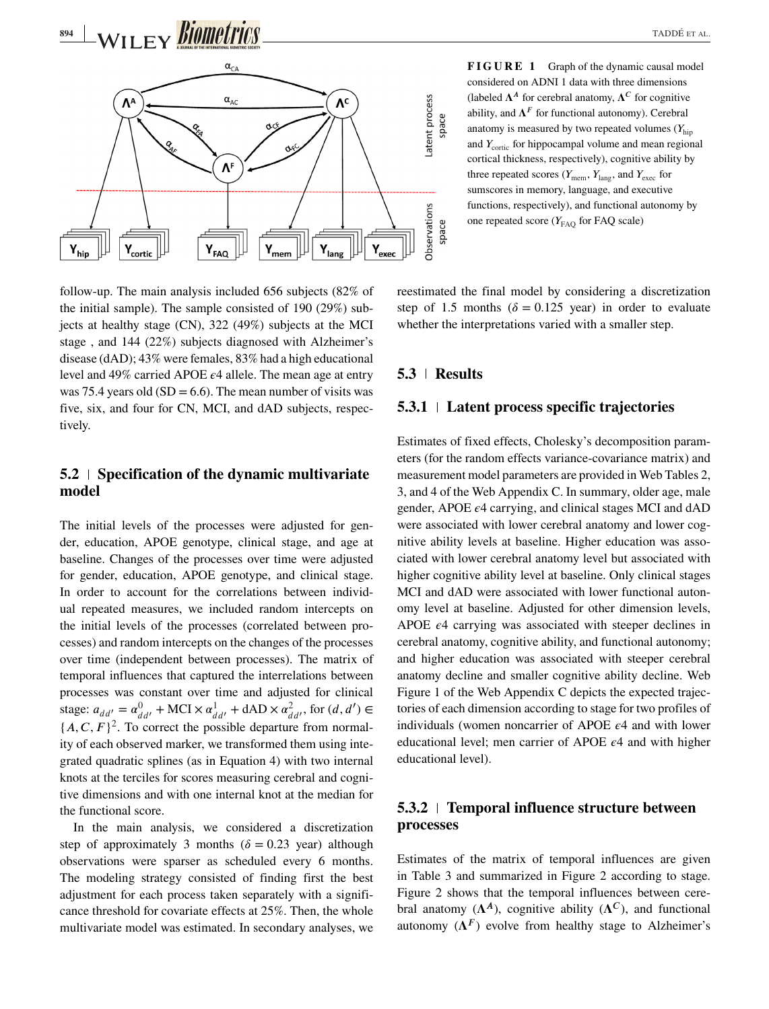

follow-up. The main analysis included 656 subjects (82% of the initial sample). The sample consisted of 190 (29%) subjects at healthy stage (CN), 322 (49%) subjects at the MCI stage , and 144 (22%) subjects diagnosed with Alzheimer's disease (dAD); 43% were females, 83% had a high educational level and 49% carried APOE  $\epsilon$ 4 allele. The mean age at entry was 75.4 years old  $(SD = 6.6)$ . The mean number of visits was five, six, and four for CN, MCI, and dAD subjects, respectively.

## **5.2 Specification of the dynamic multivariate model**

The initial levels of the processes were adjusted for gender, education, APOE genotype, clinical stage, and age at baseline. Changes of the processes over time were adjusted for gender, education, APOE genotype, and clinical stage. In order to account for the correlations between individual repeated measures, we included random intercepts on the initial levels of the processes (correlated between processes) and random intercepts on the changes of the processes over time (independent between processes). The matrix of temporal influences that captured the interrelations between processes was constant over time and adjusted for clinical stage:  $a_{dd'} = \alpha_{dd'}^0 + \text{MCI} \times \alpha_{dd'}^1 + \text{dAD} \times \alpha_{dd'}^2$ , for (*d*, *d'*<br>
(*A G, E)*<sup>2</sup>. To counst the negative denoming from some  ${d d'}$ <br>{*A*, *C*, *F*}<sup>2</sup>. To correct the possible departure from normal-<br>ity of each observed marker, we transformed them using inte ity of each observed marker, we transformed them using integrated quadratic splines (as in Equation 4) with two internal knots at the terciles for scores measuring cerebral and cognitive dimensions and with one internal knot at the median for the functional score.

In the main analysis, we considered a discretization step of approximately 3 months ( $\delta = 0.23$  year) although observations were sparser as scheduled every 6 months. The modeling strategy consisted of finding first the best adjustment for each process taken separately with a significance threshold for covariate effects at 25%. Then, the whole multivariate model was estimated. In secondary analyses, we **FIGURE 1** Graph of the dynamic causal model considered on ADNI 1 data with three dimensions (labeled  $\Lambda^A$  for cerebral anatomy,  $\Lambda^C$  for cognitive ability, and  $\Lambda^F$  for functional autonomy). Cerebral anatomy is measured by two repeated volumes  $(Y_{\text{bin}})$ and  $Y_{\text{cortic}}$  for hippocampal volume and mean regional cortical thickness, respectively), cognitive ability by three repeated scores ( $Y_{\text{mem}}$ ,  $Y_{\text{lang}}$ , and  $Y_{\text{exec}}$  for sumscores in memory, language, and executive functions, respectively), and functional autonomy by one repeated score  $(Y_{FAO}$  for FAQ scale)

reestimated the final model by considering a discretization step of 1.5 months ( $\delta = 0.125$  year) in order to evaluate whether the interpretations varied with a smaller step.

### **5.3 Results**

### **5.3.1 Latent process specific trajectories**

Estimates of fixed effects, Cholesky's decomposition parameters (for the random effects variance-covariance matrix) and measurement model parameters are provided in Web Tables 2, 3, and 4 of the Web Appendix C. In summary, older age, male gender, APOE  $\epsilon$ 4 carrying, and clinical stages MCI and dAD were associated with lower cerebral anatomy and lower cognitive ability levels at baseline. Higher education was associated with lower cerebral anatomy level but associated with higher cognitive ability level at baseline. Only clinical stages MCI and dAD were associated with lower functional autonomy level at baseline. Adjusted for other dimension levels, APOE  $\epsilon$ 4 carrying was associated with steeper declines in cerebral anatomy, cognitive ability, and functional autonomy; and higher education was associated with steeper cerebral anatomy decline and smaller cognitive ability decline. Web Figure 1 of the Web Appendix C depicts the expected trajectories of each dimension according to stage for two profiles of individuals (women noncarrier of APOE  $\epsilon$ 4 and with lower educational level; men carrier of APOE  $\epsilon$ 4 and with higher educational level).

# **5.3.2 Temporal influence structure between processes**

Estimates of the matrix of temporal influences are given in Table 3 and summarized in Figure 2 according to stage. Figure 2 shows that the temporal influences between cerebral anatomy  $(\Lambda^A)$ , cognitive ability  $(\Lambda^C)$ , and functional autonomy  $(\Lambda^F)$  evolve from healthy stage to Alzheimer's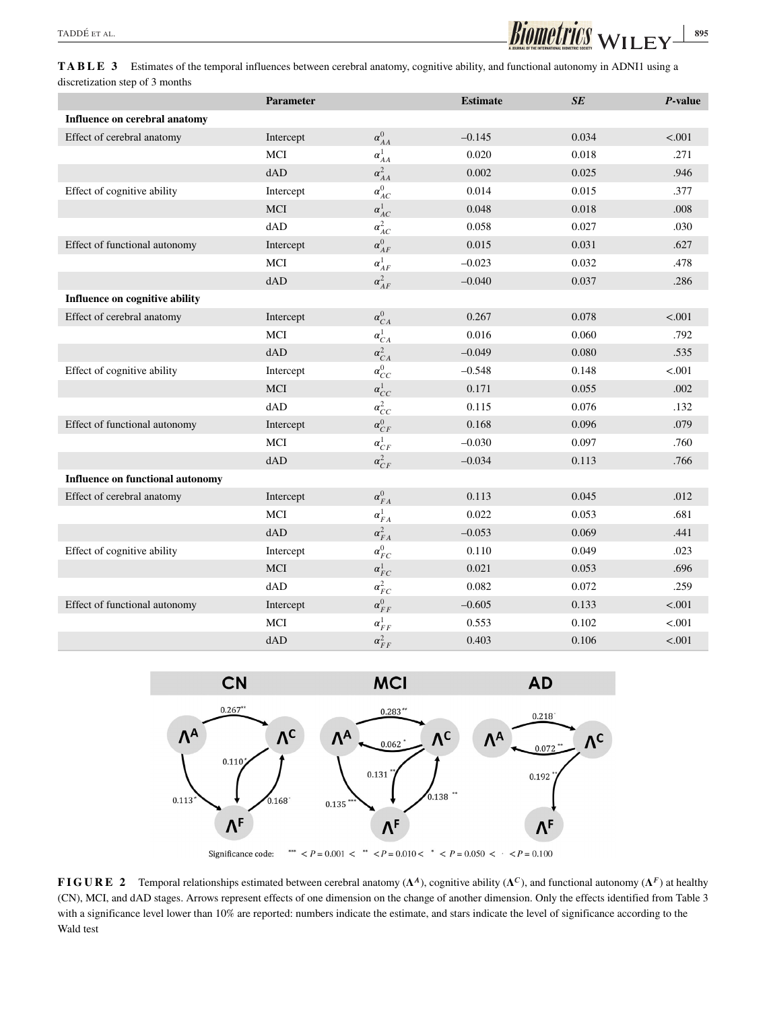

**TABLE 3** Estimates of the temporal influences between cerebral anatomy, cognitive ability, and functional autonomy in ADNI1 using a discretization step of 3 months

|                                         | <b>Parameter</b> |                 | <b>Estimate</b> | SE    | P-value |
|-----------------------------------------|------------------|-----------------|-----------------|-------|---------|
| Influence on cerebral anatomy           |                  |                 |                 |       |         |
| Effect of cerebral anatomy              | Intercept        | $\alpha_{AA}^0$ | $-0.145$        | 0.034 | < .001  |
|                                         | MCI              | $\alpha_{AA}^1$ | 0.020           | 0.018 | .271    |
|                                         | dAD              | $\alpha_{AA}^2$ | 0.002           | 0.025 | .946    |
| Effect of cognitive ability             | Intercept        | $\alpha^0_{AC}$ | 0.014           | 0.015 | .377    |
|                                         | <b>MCI</b>       | $\alpha_{AC}^1$ | 0.048           | 0.018 | .008    |
|                                         | dAD              | $\alpha_{AC}^2$ | 0.058           | 0.027 | .030    |
| Effect of functional autonomy           | Intercept        | $\alpha_{AF}^0$ | 0.015           | 0.031 | .627    |
|                                         | MCI              | $\alpha_{AF}^1$ | $-0.023$        | 0.032 | .478    |
|                                         | dAD              | $\alpha_{AF}^2$ | $-0.040$        | 0.037 | .286    |
| Influence on cognitive ability          |                  |                 |                 |       |         |
| Effect of cerebral anatomy              | Intercept        | $\alpha_{CA}^0$ | 0.267           | 0.078 | < .001  |
|                                         | MCI              | $\alpha_{CA}^1$ | 0.016           | 0.060 | .792    |
|                                         | dAD              | $\alpha_{CA}^2$ | $-0.049$        | 0.080 | .535    |
| Effect of cognitive ability             | Intercept        | $\alpha_{CC}^0$ | $-0.548$        | 0.148 | < .001  |
|                                         | <b>MCI</b>       | $\alpha^1_{CC}$ | 0.171           | 0.055 | .002    |
|                                         | dAD              | $\alpha_{CC}^2$ | 0.115           | 0.076 | .132    |
| Effect of functional autonomy           | Intercept        | $\alpha_{CF}^0$ | 0.168           | 0.096 | .079    |
|                                         | MCI              | $\alpha_{CF}^1$ | $-0.030$        | 0.097 | .760    |
|                                         | dAD              | $\alpha_{CF}^2$ | $-0.034$        | 0.113 | .766    |
| <b>Influence on functional autonomy</b> |                  |                 |                 |       |         |
| Effect of cerebral anatomy              | Intercept        | $\alpha_{FA}^0$ | 0.113           | 0.045 | .012    |
|                                         | <b>MCI</b>       | $\alpha_{FA}^1$ | 0.022           | 0.053 | .681    |
|                                         | dAD              | $\alpha_{FA}^2$ | $-0.053$        | 0.069 | .441    |
| Effect of cognitive ability             | Intercept        | $\alpha_{FC}^0$ | 0.110           | 0.049 | .023    |
|                                         | <b>MCI</b>       | $\alpha_{FC}^1$ | 0.021           | 0.053 | .696    |
|                                         | dAD              | $\alpha_{FC}^2$ | 0.082           | 0.072 | .259    |
| Effect of functional autonomy           | Intercept        | $\alpha_{FF}^0$ | $-0.605$        | 0.133 | < .001  |
|                                         | MCI              | $\alpha_{FF}^1$ | 0.553           | 0.102 | < .001  |
|                                         | dAD              | $\alpha_{FF}^2$ | 0.403           | 0.106 | < .001  |



**FIGURE 2** Temporal relationships estimated between cerebral anatomy  $(\Lambda^A)$ , cognitive ability  $(\Lambda^C)$ , and functional autonomy  $(\Lambda^F)$  at healthy (CN), MCI, and dAD stages. Arrows represent effects of one dimension on the change of another dimension. Only the effects identified from Table 3 with a significance level lower than 10% are reported: numbers indicate the estimate, and stars indicate the level of significance according to the Wald test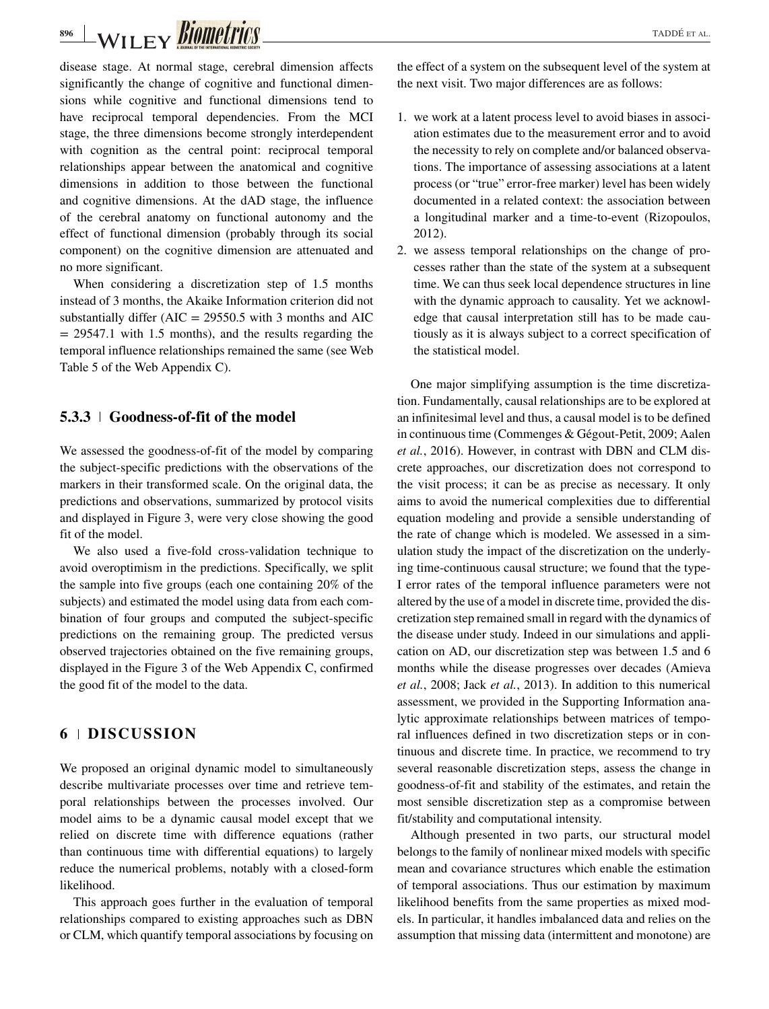# **BIOMETTICS**

disease stage. At normal stage, cerebral dimension affects significantly the change of cognitive and functional dimensions while cognitive and functional dimensions tend to have reciprocal temporal dependencies. From the MCI stage, the three dimensions become strongly interdependent with cognition as the central point: reciprocal temporal relationships appear between the anatomical and cognitive dimensions in addition to those between the functional and cognitive dimensions. At the dAD stage, the influence of the cerebral anatomy on functional autonomy and the effect of functional dimension (probably through its social component) on the cognitive dimension are attenuated and no more significant.

When considering a discretization step of 1.5 months instead of 3 months, the Akaike Information criterion did not substantially differ  $(AIC = 29550.5$  with 3 months and  $AIC$  $= 29547.1$  with 1.5 months), and the results regarding the temporal influence relationships remained the same (see Web Table 5 of the Web Appendix C).

## **5.3.3 Goodness-of-fit of the model**

We assessed the goodness-of-fit of the model by comparing the subject-specific predictions with the observations of the markers in their transformed scale. On the original data, the predictions and observations, summarized by protocol visits and displayed in Figure 3, were very close showing the good fit of the model.

We also used a five-fold cross-validation technique to avoid overoptimism in the predictions. Specifically, we split the sample into five groups (each one containing 20% of the subjects) and estimated the model using data from each combination of four groups and computed the subject-specific predictions on the remaining group. The predicted versus observed trajectories obtained on the five remaining groups, displayed in the Figure 3 of the Web Appendix C, confirmed the good fit of the model to the data.

# **6 DISCUSSION**

We proposed an original dynamic model to simultaneously describe multivariate processes over time and retrieve temporal relationships between the processes involved. Our model aims to be a dynamic causal model except that we relied on discrete time with difference equations (rather than continuous time with differential equations) to largely reduce the numerical problems, notably with a closed-form likelihood.

This approach goes further in the evaluation of temporal relationships compared to existing approaches such as DBN or CLM, which quantify temporal associations by focusing on the effect of a system on the subsequent level of the system at the next visit. Two major differences are as follows:

- 1. we work at a latent process level to avoid biases in association estimates due to the measurement error and to avoid the necessity to rely on complete and/or balanced observations. The importance of assessing associations at a latent process (or "true" error-free marker) level has been widely documented in a related context: the association between a longitudinal marker and a time-to-event (Rizopoulos, 2012).
- 2. we assess temporal relationships on the change of processes rather than the state of the system at a subsequent time. We can thus seek local dependence structures in line with the dynamic approach to causality. Yet we acknowledge that causal interpretation still has to be made cautiously as it is always subject to a correct specification of the statistical model.

One major simplifying assumption is the time discretization. Fundamentally, causal relationships are to be explored at an infinitesimal level and thus, a causal model is to be defined in continuous time (Commenges & Gégout-Petit, 2009; Aalen *et al.*, 2016). However, in contrast with DBN and CLM discrete approaches, our discretization does not correspond to the visit process; it can be as precise as necessary. It only aims to avoid the numerical complexities due to differential equation modeling and provide a sensible understanding of the rate of change which is modeled. We assessed in a simulation study the impact of the discretization on the underlying time-continuous causal structure; we found that the type-I error rates of the temporal influence parameters were not altered by the use of a model in discrete time, provided the discretization step remained small in regard with the dynamics of the disease under study. Indeed in our simulations and application on AD, our discretization step was between 1.5 and 6 months while the disease progresses over decades (Amieva *et al.*, 2008; Jack *et al.*, 2013). In addition to this numerical assessment, we provided in the Supporting Information analytic approximate relationships between matrices of temporal influences defined in two discretization steps or in continuous and discrete time. In practice, we recommend to try several reasonable discretization steps, assess the change in goodness-of-fit and stability of the estimates, and retain the most sensible discretization step as a compromise between fit/stability and computational intensity.

Although presented in two parts, our structural model belongs to the family of nonlinear mixed models with specific mean and covariance structures which enable the estimation of temporal associations. Thus our estimation by maximum likelihood benefits from the same properties as mixed models. In particular, it handles imbalanced data and relies on the assumption that missing data (intermittent and monotone) are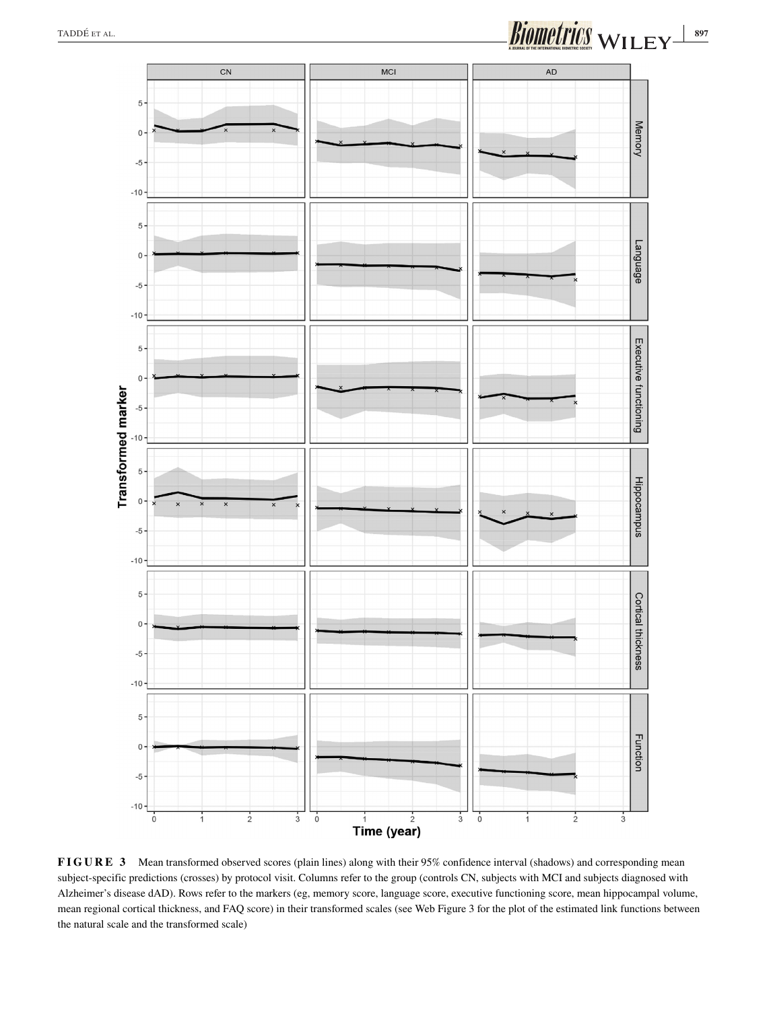

**FIGURE 3** Mean transformed observed scores (plain lines) along with their 95% confidence interval (shadows) and corresponding mean subject-specific predictions (crosses) by protocol visit. Columns refer to the group (controls CN, subjects with MCI and subjects diagnosed with Alzheimer's disease dAD). Rows refer to the markers (eg, memory score, language score, executive functioning score, mean hippocampal volume, mean regional cortical thickness, and FAQ score) in their transformed scales (see Web Figure 3 for the plot of the estimated link functions between the natural scale and the transformed scale)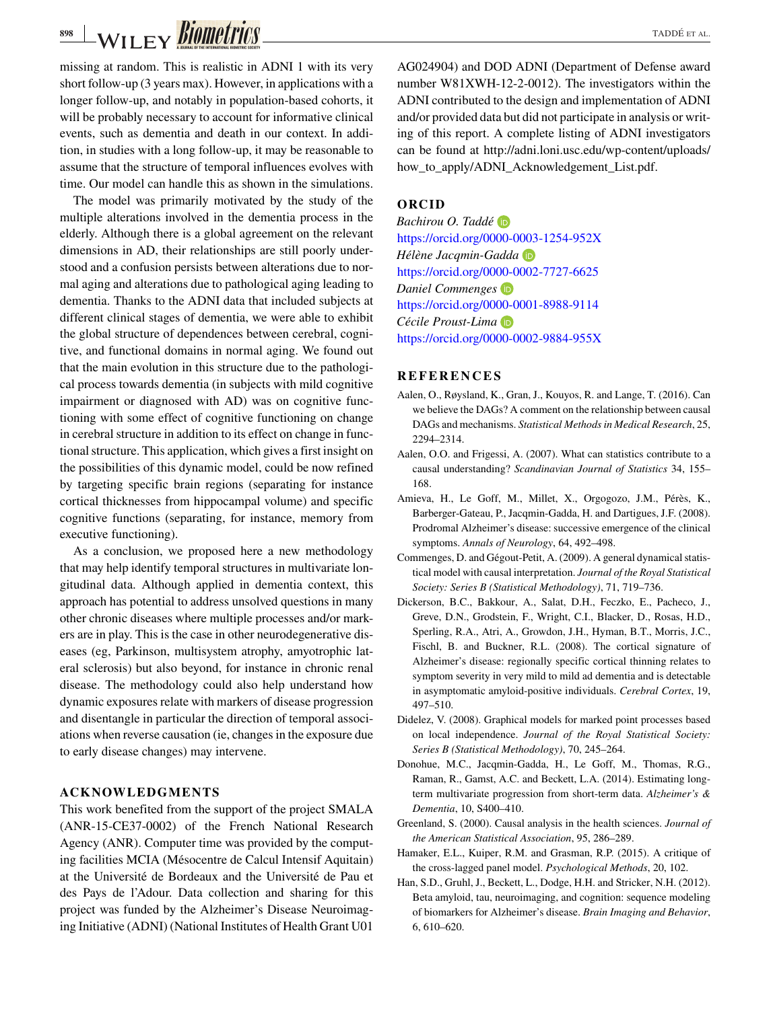-WILEY *BIOMETTICS* 

missing at random. This is realistic in ADNI 1 with its very short follow-up (3 years max). However, in applications with a longer follow-up, and notably in population-based cohorts, it will be probably necessary to account for informative clinical events, such as dementia and death in our context. In addition, in studies with a long follow-up, it may be reasonable to assume that the structure of temporal influences evolves with time. Our model can handle this as shown in the simulations.

The model was primarily motivated by the study of the multiple alterations involved in the dementia process in the elderly. Although there is a global agreement on the relevant dimensions in AD, their relationships are still poorly understood and a confusion persists between alterations due to normal aging and alterations due to pathological aging leading to dementia. Thanks to the ADNI data that included subjects at different clinical stages of dementia, we were able to exhibit the global structure of dependences between cerebral, cognitive, and functional domains in normal aging. We found out that the main evolution in this structure due to the pathological process towards dementia (in subjects with mild cognitive impairment or diagnosed with AD) was on cognitive functioning with some effect of cognitive functioning on change in cerebral structure in addition to its effect on change in functional structure. This application, which gives a first insight on the possibilities of this dynamic model, could be now refined by targeting specific brain regions (separating for instance cortical thicknesses from hippocampal volume) and specific cognitive functions (separating, for instance, memory from executive functioning).

As a conclusion, we proposed here a new methodology that may help identify temporal structures in multivariate longitudinal data. Although applied in dementia context, this approach has potential to address unsolved questions in many other chronic diseases where multiple processes and/or markers are in play. This is the case in other neurodegenerative diseases (eg, Parkinson, multisystem atrophy, amyotrophic lateral sclerosis) but also beyond, for instance in chronic renal disease. The methodology could also help understand how dynamic exposures relate with markers of disease progression and disentangle in particular the direction of temporal associations when reverse causation (ie, changes in the exposure due to early disease changes) may intervene.

#### **ACKNOWLEDGMENTS**

This work benefited from the support of the project SMALA (ANR-15-CE37-0002) of the French National Research Agency (ANR). Computer time was provided by the computing facilities MCIA (Mésocentre de Calcul Intensif Aquitain) at the Université de Bordeaux and the Université de Pau et des Pays de l'Adour. Data collection and sharing for this project was funded by the Alzheimer's Disease Neuroimaging Initiative (ADNI) (National Institutes of Health Grant U01 AG024904) and DOD ADNI (Department of Defense award number W81XWH-12-2-0012). The investigators within the ADNI contributed to the design and implementation of ADNI and/or provided data but did not participate in analysis or writing of this report. A complete listing of ADNI investigators can be found at [http://adni.loni.usc.edu/wp-content/uploads/](http://adni.loni.usc.edu/wp-content/uploads/how_to_apply/ADNI_Acknowledgement_List.pdf) [how\\_to\\_apply/ADNI\\_Acknowledgement\\_List.pdf.](http://adni.loni.usc.edu/wp-content/uploads/how_to_apply/ADNI_Acknowledgement_List.pdf)

#### **ORCID**

*Bachirou O. Taddé* <https://orcid.org/0000-0003-1254-952X> *Hélène Jacqmin-Gadda* <https://orcid.org/0000-0002-7727-6625> *Daniel Commenges* <https://orcid.org/0000-0001-8988-9114> *Cécile Proust-Lima* <https://orcid.org/0000-0002-9884-955X>

#### **REFERENCES**

- Aalen, O., Røysland, K., Gran, J., Kouyos, R. and Lange, T. (2016). Can we believe the DAGs? A comment on the relationship between causal DAGs and mechanisms. *Statistical Methods in Medical Research*, 25, 2294–2314.
- Aalen, O.O. and Frigessi, A. (2007). What can statistics contribute to a causal understanding? *Scandinavian Journal of Statistics* 34, 155– 168.
- Amieva, H., Le Goff, M., Millet, X., Orgogozo, J.M., Pérès, K., Barberger-Gateau, P., Jacqmin-Gadda, H. and Dartigues, J.F. (2008). Prodromal Alzheimer's disease: successive emergence of the clinical symptoms. *Annals of Neurology*, 64, 492–498.
- Commenges, D. and Gégout-Petit, A. (2009). A general dynamical statistical model with causal interpretation. *Journal of the Royal Statistical Society: Series B (Statistical Methodology)*, 71, 719–736.
- Dickerson, B.C., Bakkour, A., Salat, D.H., Feczko, E., Pacheco, J., Greve, D.N., Grodstein, F., Wright, C.I., Blacker, D., Rosas, H.D., Sperling, R.A., Atri, A., Growdon, J.H., Hyman, B.T., Morris, J.C., Fischl, B. and Buckner, R.L. (2008). The cortical signature of Alzheimer's disease: regionally specific cortical thinning relates to symptom severity in very mild to mild ad dementia and is detectable in asymptomatic amyloid-positive individuals. *Cerebral Cortex*, 19, 497–510.
- Didelez, V. (2008). Graphical models for marked point processes based on local independence. *Journal of the Royal Statistical Society: Series B (Statistical Methodology)*, 70, 245–264.
- Donohue, M.C., Jacqmin-Gadda, H., Le Goff, M., Thomas, R.G., Raman, R., Gamst, A.C. and Beckett, L.A. (2014). Estimating longterm multivariate progression from short-term data. *Alzheimer's & Dementia*, 10, S400–410.
- Greenland, S. (2000). Causal analysis in the health sciences. *Journal of the American Statistical Association*, 95, 286–289.
- Hamaker, E.L., Kuiper, R.M. and Grasman, R.P. (2015). A critique of the cross-lagged panel model. *Psychological Methods*, 20, 102.
- Han, S.D., Gruhl, J., Beckett, L., Dodge, H.H. and Stricker, N.H. (2012). Beta amyloid, tau, neuroimaging, and cognition: sequence modeling of biomarkers for Alzheimer's disease. *Brain Imaging and Behavior*, 6, 610–620.